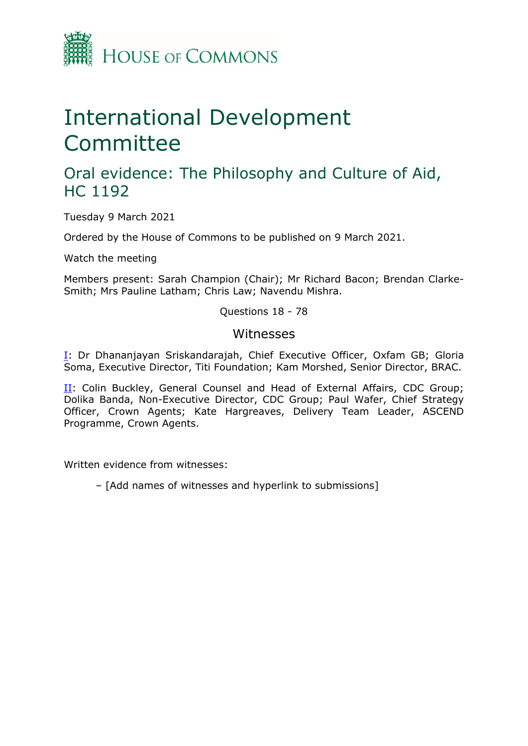

# International Development Committee

# Oral evidence: The Philosophy and Culture of Aid, HC 1192

Tuesday 9 March 2021

Ordered by the House of Commons to be published on 9 March 2021.

Watch the meeting

Members present: Sarah Champion (Chair); Mr Richard Bacon; Brendan Clarke-Smith; Mrs Pauline Latham; Chris Law; Navendu Mishra.

Questions 18 - 78

### Witnesses

[I:](#page-1-0) Dr Dhananjayan Sriskandarajah, Chief Executive Officer, Oxfam GB; Gloria Soma, Executive Director, Titi Foundation; Kam Morshed, Senior Director, BRAC.

[II](#page-20-0): Colin Buckley, General Counsel and Head of External Affairs, CDC Group; Dolika Banda, Non-Executive Director, CDC Group; Paul Wafer, Chief Strategy Officer, Crown Agents; Kate Hargreaves, Delivery Team Leader, ASCEND Programme, Crown Agents.

Written evidence from witnesses:

– [Add names of witnesses and hyperlink to submissions]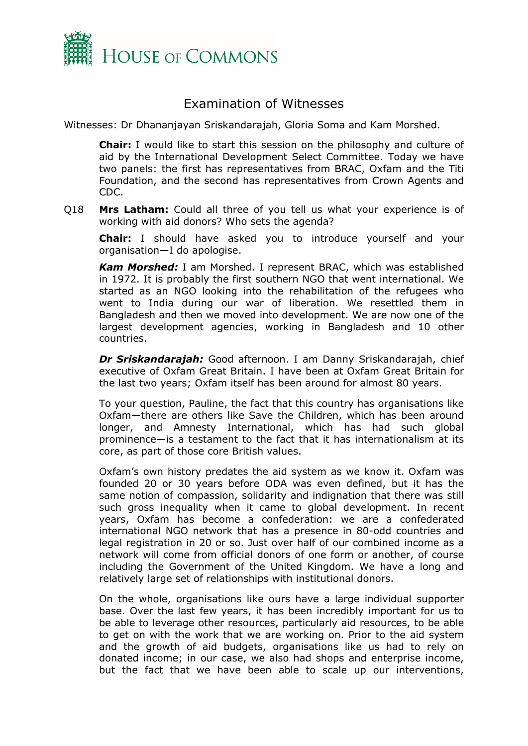

# Examination of Witnesses

Witnesses: Dr Dhananjayan Sriskandarajah, Gloria Soma and Kam Morshed.

<span id="page-1-0"></span>**Chair:** I would like to start this session on the philosophy and culture of aid by the International Development Select Committee. Today we have two panels: the first has representatives from BRAC, Oxfam and the Titi Foundation, and the second has representatives from Crown Agents and CDC.

Q18 **Mrs Latham:** Could all three of you tell us what your experience is of working with aid donors? Who sets the agenda?

**Chair:** I should have asked you to introduce yourself and your organisation—I do apologise.

*Kam Morshed:* I am Morshed. I represent BRAC, which was established in 1972. It is probably the first southern NGO that went international. We started as an NGO looking into the rehabilitation of the refugees who went to India during our war of liberation. We resettled them in Bangladesh and then we moved into development. We are now one of the largest development agencies, working in Bangladesh and 10 other countries.

*Dr Sriskandarajah:* Good afternoon. I am Danny Sriskandarajah, chief executive of Oxfam Great Britain. I have been at Oxfam Great Britain for the last two years; Oxfam itself has been around for almost 80 years.

To your question, Pauline, the fact that this country has organisations like Oxfam—there are others like Save the Children, which has been around longer, and Amnesty International, which has had such global prominence—is a testament to the fact that it has internationalism at its core, as part of those core British values.

Oxfam's own history predates the aid system as we know it. Oxfam was founded 20 or 30 years before ODA was even defined, but it has the same notion of compassion, solidarity and indignation that there was still such gross inequality when it came to global development. In recent years, Oxfam has become a confederation: we are a confederated international NGO network that has a presence in 80-odd countries and legal registration in 20 or so. Just over half of our combined income as a network will come from official donors of one form or another, of course including the Government of the United Kingdom. We have a long and relatively large set of relationships with institutional donors.

On the whole, organisations like ours have a large individual supporter base. Over the last few years, it has been incredibly important for us to be able to leverage other resources, particularly aid resources, to be able to get on with the work that we are working on. Prior to the aid system and the growth of aid budgets, organisations like us had to rely on donated income; in our case, we also had shops and enterprise income, but the fact that we have been able to scale up our interventions,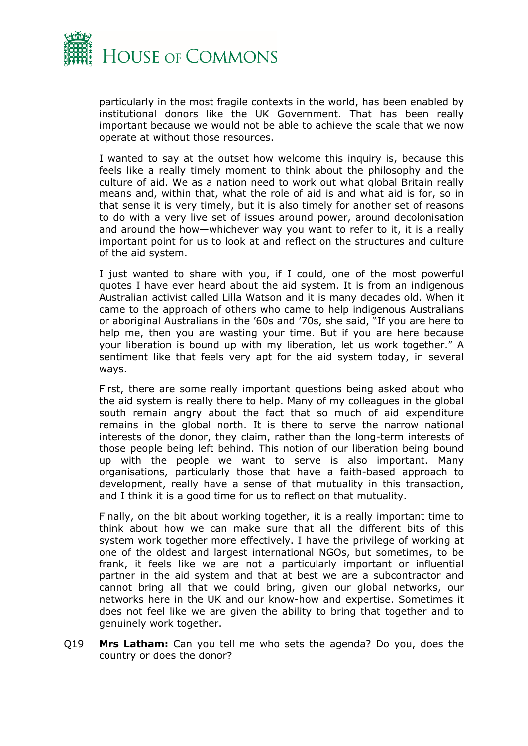

particularly in the most fragile contexts in the world, has been enabled by institutional donors like the UK Government. That has been really important because we would not be able to achieve the scale that we now operate at without those resources.

I wanted to say at the outset how welcome this inquiry is, because this feels like a really timely moment to think about the philosophy and the culture of aid. We as a nation need to work out what global Britain really means and, within that, what the role of aid is and what aid is for, so in that sense it is very timely, but it is also timely for another set of reasons to do with a very live set of issues around power, around decolonisation and around the how—whichever way you want to refer to it, it is a really important point for us to look at and reflect on the structures and culture of the aid system.

I just wanted to share with you, if I could, one of the most powerful quotes I have ever heard about the aid system. It is from an indigenous Australian activist called Lilla Watson and it is many decades old. When it came to the approach of others who came to help indigenous Australians or aboriginal Australians in the '60s and '70s, she said, "If you are here to help me, then you are wasting your time. But if you are here because your liberation is bound up with my liberation, let us work together." A sentiment like that feels very apt for the aid system today, in several ways.

First, there are some really important questions being asked about who the aid system is really there to help. Many of my colleagues in the global south remain angry about the fact that so much of aid expenditure remains in the global north. It is there to serve the narrow national interests of the donor, they claim, rather than the long-term interests of those people being left behind. This notion of our liberation being bound up with the people we want to serve is also important. Many organisations, particularly those that have a faith-based approach to development, really have a sense of that mutuality in this transaction, and I think it is a good time for us to reflect on that mutuality.

Finally, on the bit about working together, it is a really important time to think about how we can make sure that all the different bits of this system work together more effectively. I have the privilege of working at one of the oldest and largest international NGOs, but sometimes, to be frank, it feels like we are not a particularly important or influential partner in the aid system and that at best we are a subcontractor and cannot bring all that we could bring, given our global networks, our networks here in the UK and our know-how and expertise. Sometimes it does not feel like we are given the ability to bring that together and to genuinely work together.

Q19 **Mrs Latham:** Can you tell me who sets the agenda? Do you, does the country or does the donor?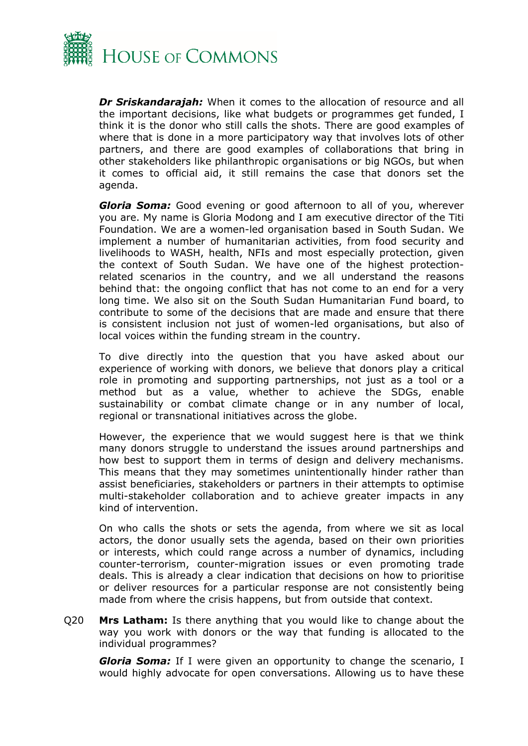

*Dr Sriskandarajah:* When it comes to the allocation of resource and all the important decisions, like what budgets or programmes get funded, I think it is the donor who still calls the shots. There are good examples of where that is done in a more participatory way that involves lots of other partners, and there are good examples of collaborations that bring in other stakeholders like philanthropic organisations or big NGOs, but when it comes to official aid, it still remains the case that donors set the agenda.

*Gloria Soma:* Good evening or good afternoon to all of you, wherever you are. My name is Gloria Modong and I am executive director of the Titi Foundation. We are a women-led organisation based in South Sudan. We implement a number of humanitarian activities, from food security and livelihoods to WASH, health, NFIs and most especially protection, given the context of South Sudan. We have one of the highest protectionrelated scenarios in the country, and we all understand the reasons behind that: the ongoing conflict that has not come to an end for a very long time. We also sit on the South Sudan Humanitarian Fund board, to contribute to some of the decisions that are made and ensure that there is consistent inclusion not just of women-led organisations, but also of local voices within the funding stream in the country.

To dive directly into the question that you have asked about our experience of working with donors, we believe that donors play a critical role in promoting and supporting partnerships, not just as a tool or a method but as a value, whether to achieve the SDGs, enable sustainability or combat climate change or in any number of local, regional or transnational initiatives across the globe.

However, the experience that we would suggest here is that we think many donors struggle to understand the issues around partnerships and how best to support them in terms of design and delivery mechanisms. This means that they may sometimes unintentionally hinder rather than assist beneficiaries, stakeholders or partners in their attempts to optimise multi-stakeholder collaboration and to achieve greater impacts in any kind of intervention.

On who calls the shots or sets the agenda, from where we sit as local actors, the donor usually sets the agenda, based on their own priorities or interests, which could range across a number of dynamics, including counter-terrorism, counter-migration issues or even promoting trade deals. This is already a clear indication that decisions on how to prioritise or deliver resources for a particular response are not consistently being made from where the crisis happens, but from outside that context.

Q20 **Mrs Latham:** Is there anything that you would like to change about the way you work with donors or the way that funding is allocated to the individual programmes?

*Gloria Soma:* If I were given an opportunity to change the scenario, I would highly advocate for open conversations. Allowing us to have these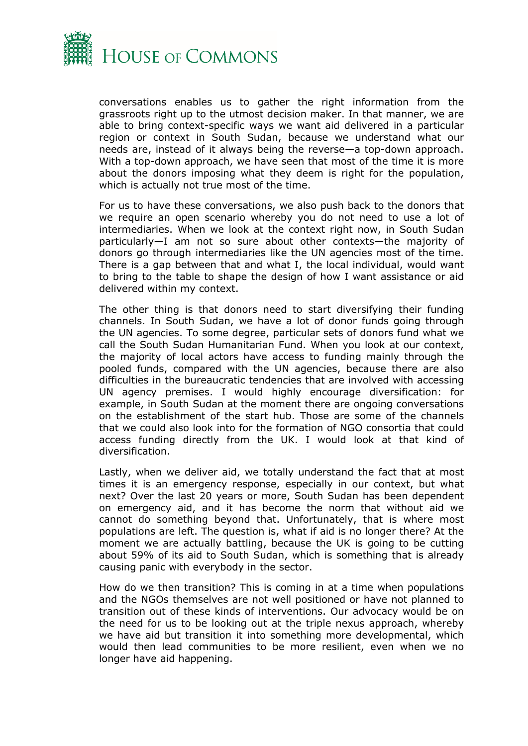

conversations enables us to gather the right information from the grassroots right up to the utmost decision maker. In that manner, we are able to bring context-specific ways we want aid delivered in a particular region or context in South Sudan, because we understand what our needs are, instead of it always being the reverse—a top-down approach. With a top-down approach, we have seen that most of the time it is more about the donors imposing what they deem is right for the population, which is actually not true most of the time.

For us to have these conversations, we also push back to the donors that we require an open scenario whereby you do not need to use a lot of intermediaries. When we look at the context right now, in South Sudan particularly—I am not so sure about other contexts—the majority of donors go through intermediaries like the UN agencies most of the time. There is a gap between that and what I, the local individual, would want to bring to the table to shape the design of how I want assistance or aid delivered within my context.

The other thing is that donors need to start diversifying their funding channels. In South Sudan, we have a lot of donor funds going through the UN agencies. To some degree, particular sets of donors fund what we call the South Sudan Humanitarian Fund. When you look at our context, the majority of local actors have access to funding mainly through the pooled funds, compared with the UN agencies, because there are also difficulties in the bureaucratic tendencies that are involved with accessing UN agency premises. I would highly encourage diversification: for example, in South Sudan at the moment there are ongoing conversations on the establishment of the start hub. Those are some of the channels that we could also look into for the formation of NGO consortia that could access funding directly from the UK. I would look at that kind of diversification.

Lastly, when we deliver aid, we totally understand the fact that at most times it is an emergency response, especially in our context, but what next? Over the last 20 years or more, South Sudan has been dependent on emergency aid, and it has become the norm that without aid we cannot do something beyond that. Unfortunately, that is where most populations are left. The question is, what if aid is no longer there? At the moment we are actually battling, because the UK is going to be cutting about 59% of its aid to South Sudan, which is something that is already causing panic with everybody in the sector.

How do we then transition? This is coming in at a time when populations and the NGOs themselves are not well positioned or have not planned to transition out of these kinds of interventions. Our advocacy would be on the need for us to be looking out at the triple nexus approach, whereby we have aid but transition it into something more developmental, which would then lead communities to be more resilient, even when we no longer have aid happening.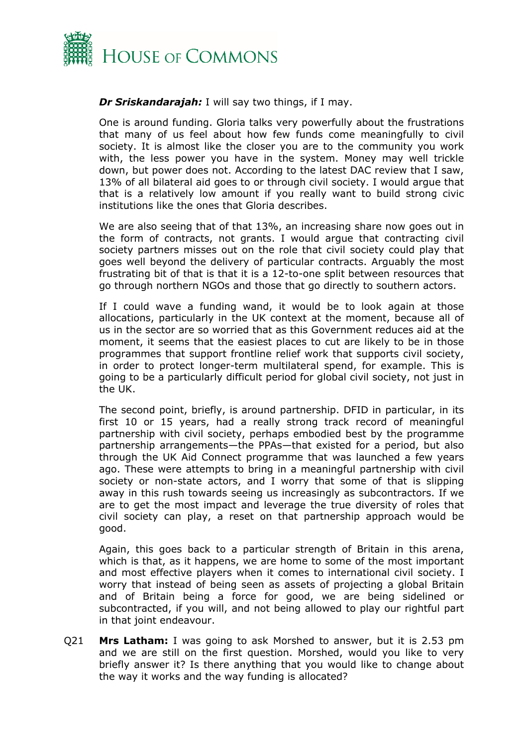

#### *Dr Sriskandarajah:* I will say two things, if I may.

One is around funding. Gloria talks very powerfully about the frustrations that many of us feel about how few funds come meaningfully to civil society. It is almost like the closer you are to the community you work with, the less power you have in the system. Money may well trickle down, but power does not. According to the latest DAC review that I saw, 13% of all bilateral aid goes to or through civil society. I would argue that that is a relatively low amount if you really want to build strong civic institutions like the ones that Gloria describes.

We are also seeing that of that 13%, an increasing share now goes out in the form of contracts, not grants. I would argue that contracting civil society partners misses out on the role that civil society could play that goes well beyond the delivery of particular contracts. Arguably the most frustrating bit of that is that it is a 12-to-one split between resources that go through northern NGOs and those that go directly to southern actors.

If I could wave a funding wand, it would be to look again at those allocations, particularly in the UK context at the moment, because all of us in the sector are so worried that as this Government reduces aid at the moment, it seems that the easiest places to cut are likely to be in those programmes that support frontline relief work that supports civil society, in order to protect longer-term multilateral spend, for example. This is going to be a particularly difficult period for global civil society, not just in the UK.

The second point, briefly, is around partnership. DFID in particular, in its first 10 or 15 years, had a really strong track record of meaningful partnership with civil society, perhaps embodied best by the programme partnership arrangements—the PPAs—that existed for a period, but also through the UK Aid Connect programme that was launched a few years ago. These were attempts to bring in a meaningful partnership with civil society or non-state actors, and I worry that some of that is slipping away in this rush towards seeing us increasingly as subcontractors. If we are to get the most impact and leverage the true diversity of roles that civil society can play, a reset on that partnership approach would be good.

Again, this goes back to a particular strength of Britain in this arena, which is that, as it happens, we are home to some of the most important and most effective players when it comes to international civil society. I worry that instead of being seen as assets of projecting a global Britain and of Britain being a force for good, we are being sidelined or subcontracted, if you will, and not being allowed to play our rightful part in that joint endeavour.

Q21 **Mrs Latham:** I was going to ask Morshed to answer, but it is 2.53 pm and we are still on the first question. Morshed, would you like to very briefly answer it? Is there anything that you would like to change about the way it works and the way funding is allocated?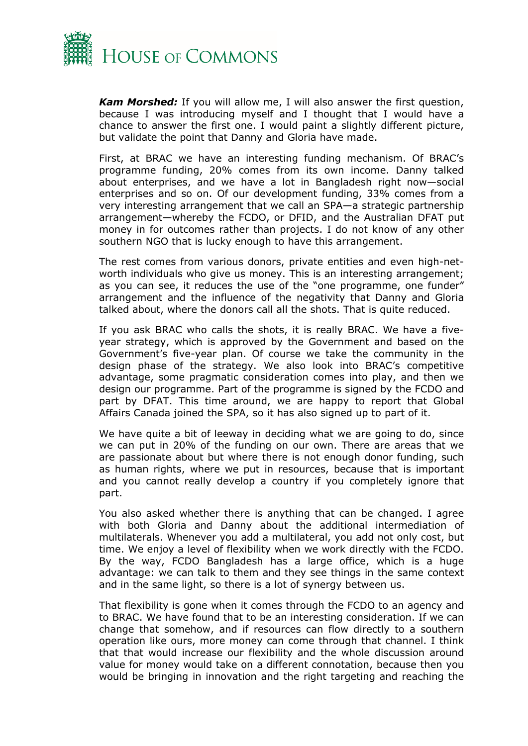

*Kam Morshed:* If you will allow me, I will also answer the first question, because I was introducing myself and I thought that I would have a chance to answer the first one. I would paint a slightly different picture, but validate the point that Danny and Gloria have made.

First, at BRAC we have an interesting funding mechanism. Of BRAC's programme funding, 20% comes from its own income. Danny talked about enterprises, and we have a lot in Bangladesh right now—social enterprises and so on. Of our development funding, 33% comes from a very interesting arrangement that we call an SPA—a strategic partnership arrangement—whereby the FCDO, or DFID, and the Australian DFAT put money in for outcomes rather than projects. I do not know of any other southern NGO that is lucky enough to have this arrangement.

The rest comes from various donors, private entities and even high-networth individuals who give us money. This is an interesting arrangement; as you can see, it reduces the use of the "one programme, one funder" arrangement and the influence of the negativity that Danny and Gloria talked about, where the donors call all the shots. That is quite reduced.

If you ask BRAC who calls the shots, it is really BRAC. We have a fiveyear strategy, which is approved by the Government and based on the Government's five-year plan. Of course we take the community in the design phase of the strategy. We also look into BRAC's competitive advantage, some pragmatic consideration comes into play, and then we design our programme. Part of the programme is signed by the FCDO and part by DFAT. This time around, we are happy to report that Global Affairs Canada joined the SPA, so it has also signed up to part of it.

We have quite a bit of leeway in deciding what we are going to do, since we can put in 20% of the funding on our own. There are areas that we are passionate about but where there is not enough donor funding, such as human rights, where we put in resources, because that is important and you cannot really develop a country if you completely ignore that part.

You also asked whether there is anything that can be changed. I agree with both Gloria and Danny about the additional intermediation of multilaterals. Whenever you add a multilateral, you add not only cost, but time. We enjoy a level of flexibility when we work directly with the FCDO. By the way, FCDO Bangladesh has a large office, which is a huge advantage: we can talk to them and they see things in the same context and in the same light, so there is a lot of synergy between us.

That flexibility is gone when it comes through the FCDO to an agency and to BRAC. We have found that to be an interesting consideration. If we can change that somehow, and if resources can flow directly to a southern operation like ours, more money can come through that channel. I think that that would increase our flexibility and the whole discussion around value for money would take on a different connotation, because then you would be bringing in innovation and the right targeting and reaching the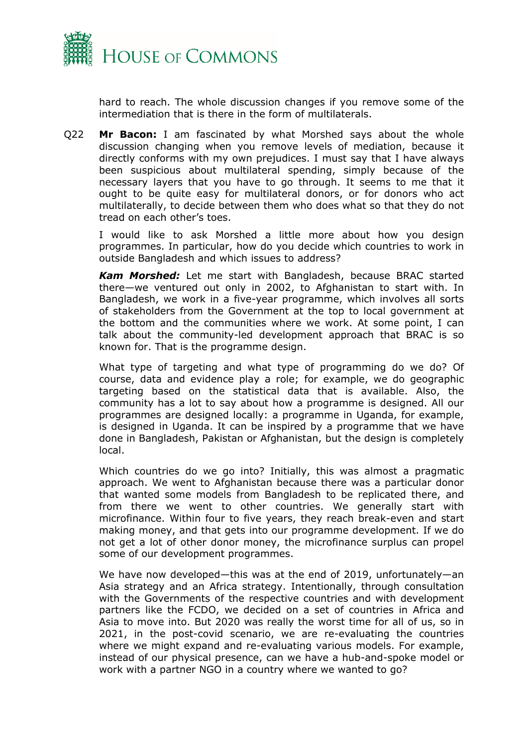

hard to reach. The whole discussion changes if you remove some of the intermediation that is there in the form of multilaterals.

Q22 **Mr Bacon:** I am fascinated by what Morshed says about the whole discussion changing when you remove levels of mediation, because it directly conforms with my own prejudices. I must say that I have always been suspicious about multilateral spending, simply because of the necessary layers that you have to go through. It seems to me that it ought to be quite easy for multilateral donors, or for donors who act multilaterally, to decide between them who does what so that they do not tread on each other's toes.

I would like to ask Morshed a little more about how you design programmes. In particular, how do you decide which countries to work in outside Bangladesh and which issues to address?

*Kam Morshed:* Let me start with Bangladesh, because BRAC started there—we ventured out only in 2002, to Afghanistan to start with. In Bangladesh, we work in a five-year programme, which involves all sorts of stakeholders from the Government at the top to local government at the bottom and the communities where we work. At some point, I can talk about the community-led development approach that BRAC is so known for. That is the programme design.

What type of targeting and what type of programming do we do? Of course, data and evidence play a role; for example, we do geographic targeting based on the statistical data that is available. Also, the community has a lot to say about how a programme is designed. All our programmes are designed locally: a programme in Uganda, for example, is designed in Uganda. It can be inspired by a programme that we have done in Bangladesh, Pakistan or Afghanistan, but the design is completely local.

Which countries do we go into? Initially, this was almost a pragmatic approach. We went to Afghanistan because there was a particular donor that wanted some models from Bangladesh to be replicated there, and from there we went to other countries. We generally start with microfinance. Within four to five years, they reach break-even and start making money, and that gets into our programme development. If we do not get a lot of other donor money, the microfinance surplus can propel some of our development programmes.

We have now developed—this was at the end of 2019, unfortunately—an Asia strategy and an Africa strategy. Intentionally, through consultation with the Governments of the respective countries and with development partners like the FCDO, we decided on a set of countries in Africa and Asia to move into. But 2020 was really the worst time for all of us, so in 2021, in the post-covid scenario, we are re-evaluating the countries where we might expand and re-evaluating various models. For example, instead of our physical presence, can we have a hub-and-spoke model or work with a partner NGO in a country where we wanted to go?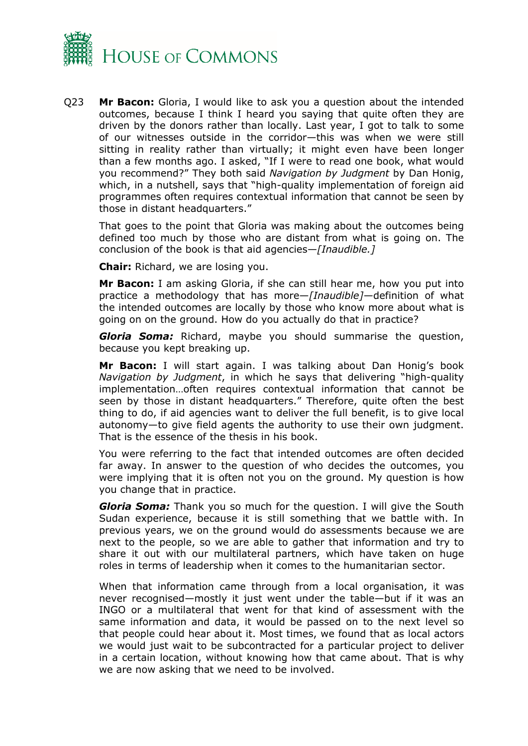

Q23 **Mr Bacon:** Gloria, I would like to ask you a question about the intended outcomes, because I think I heard you saying that quite often they are driven by the donors rather than locally. Last year, I got to talk to some of our witnesses outside in the corridor—this was when we were still sitting in reality rather than virtually; it might even have been longer than a few months ago. I asked, "If I were to read one book, what would you recommend?" They both said *Navigation by Judgment* by Dan Honig, which, in a nutshell, says that "high-quality implementation of foreign aid programmes often requires contextual information that cannot be seen by those in distant headquarters."

That goes to the point that Gloria was making about the outcomes being defined too much by those who are distant from what is going on. The conclusion of the book is that aid agencies—*[Inaudible.]*

**Chair:** Richard, we are losing you.

**Mr Bacon:** I am asking Gloria, if she can still hear me, how you put into practice a methodology that has more—*[Inaudible]—*definition of what the intended outcomes are locally by those who know more about what is going on on the ground. How do you actually do that in practice?

*Gloria Soma:* Richard, maybe you should summarise the question, because you kept breaking up.

**Mr Bacon:** I will start again. I was talking about Dan Honig's book *Navigation by Judgment*, in which he says that delivering "high-quality implementation…often requires contextual information that cannot be seen by those in distant headquarters." Therefore, quite often the best thing to do, if aid agencies want to deliver the full benefit, is to give local autonomy—to give field agents the authority to use their own judgment. That is the essence of the thesis in his book.

You were referring to the fact that intended outcomes are often decided far away. In answer to the question of who decides the outcomes, you were implying that it is often not you on the ground. My question is how you change that in practice.

*Gloria Soma:* Thank you so much for the question. I will give the South Sudan experience, because it is still something that we battle with. In previous years, we on the ground would do assessments because we are next to the people, so we are able to gather that information and try to share it out with our multilateral partners, which have taken on huge roles in terms of leadership when it comes to the humanitarian sector.

When that information came through from a local organisation, it was never recognised—mostly it just went under the table—but if it was an INGO or a multilateral that went for that kind of assessment with the same information and data, it would be passed on to the next level so that people could hear about it. Most times, we found that as local actors we would just wait to be subcontracted for a particular project to deliver in a certain location, without knowing how that came about. That is why we are now asking that we need to be involved.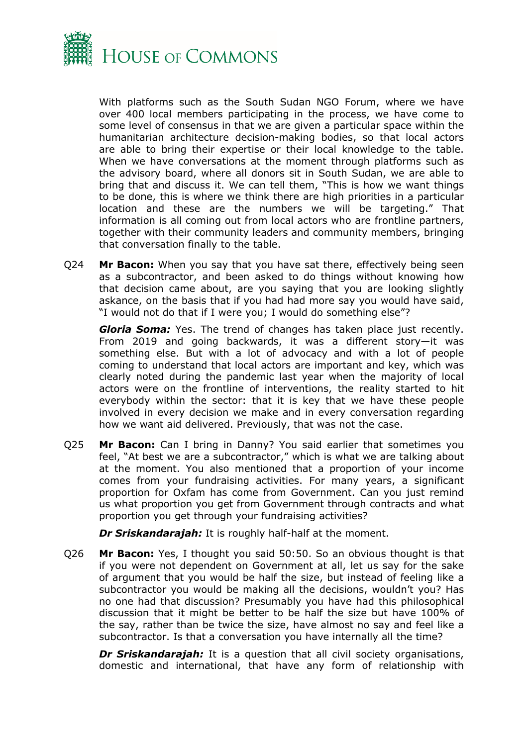

With platforms such as the South Sudan NGO Forum, where we have over 400 local members participating in the process, we have come to some level of consensus in that we are given a particular space within the humanitarian architecture decision-making bodies, so that local actors are able to bring their expertise or their local knowledge to the table. When we have conversations at the moment through platforms such as the advisory board, where all donors sit in South Sudan, we are able to bring that and discuss it. We can tell them, "This is how we want things to be done, this is where we think there are high priorities in a particular location and these are the numbers we will be targeting." That information is all coming out from local actors who are frontline partners, together with their community leaders and community members, bringing that conversation finally to the table.

Q24 **Mr Bacon:** When you say that you have sat there, effectively being seen as a subcontractor, and been asked to do things without knowing how that decision came about, are you saying that you are looking slightly askance, on the basis that if you had had more say you would have said, "I would not do that if I were you; I would do something else"?

*Gloria Soma:* Yes. The trend of changes has taken place just recently. From 2019 and going backwards, it was a different story—it was something else. But with a lot of advocacy and with a lot of people coming to understand that local actors are important and key, which was clearly noted during the pandemic last year when the majority of local actors were on the frontline of interventions, the reality started to hit everybody within the sector: that it is key that we have these people involved in every decision we make and in every conversation regarding how we want aid delivered. Previously, that was not the case.

Q25 **Mr Bacon:** Can I bring in Danny? You said earlier that sometimes you feel, "At best we are a subcontractor," which is what we are talking about at the moment. You also mentioned that a proportion of your income comes from your fundraising activities. For many years, a significant proportion for Oxfam has come from Government. Can you just remind us what proportion you get from Government through contracts and what proportion you get through your fundraising activities?

*Dr Sriskandarajah:* It is roughly half-half at the moment.

Q26 **Mr Bacon:** Yes, I thought you said 50:50. So an obvious thought is that if you were not dependent on Government at all, let us say for the sake of argument that you would be half the size, but instead of feeling like a subcontractor you would be making all the decisions, wouldn't you? Has no one had that discussion? Presumably you have had this philosophical discussion that it might be better to be half the size but have 100% of the say, rather than be twice the size, have almost no say and feel like a subcontractor. Is that a conversation you have internally all the time?

*Dr Sriskandarajah:* It is a question that all civil society organisations, domestic and international, that have any form of relationship with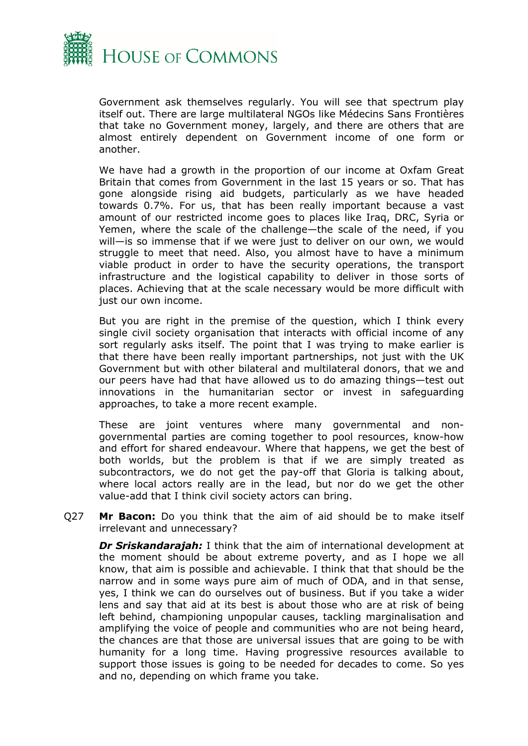

Government ask themselves regularly. You will see that spectrum play itself out. There are large multilateral NGOs like Médecins Sans Frontières that take no Government money, largely, and there are others that are almost entirely dependent on Government income of one form or another.

We have had a growth in the proportion of our income at Oxfam Great Britain that comes from Government in the last 15 years or so. That has gone alongside rising aid budgets, particularly as we have headed towards 0.7%. For us, that has been really important because a vast amount of our restricted income goes to places like Iraq, DRC, Syria or Yemen, where the scale of the challenge—the scale of the need, if you will—is so immense that if we were just to deliver on our own, we would struggle to meet that need. Also, you almost have to have a minimum viable product in order to have the security operations, the transport infrastructure and the logistical capability to deliver in those sorts of places. Achieving that at the scale necessary would be more difficult with just our own income.

But you are right in the premise of the question, which I think every single civil society organisation that interacts with official income of any sort regularly asks itself. The point that I was trying to make earlier is that there have been really important partnerships, not just with the UK Government but with other bilateral and multilateral donors, that we and our peers have had that have allowed us to do amazing things—test out innovations in the humanitarian sector or invest in safeguarding approaches, to take a more recent example.

These are joint ventures where many governmental and nongovernmental parties are coming together to pool resources, know-how and effort for shared endeavour. Where that happens, we get the best of both worlds, but the problem is that if we are simply treated as subcontractors, we do not get the pay-off that Gloria is talking about, where local actors really are in the lead, but nor do we get the other value-add that I think civil society actors can bring.

Q27 **Mr Bacon:** Do you think that the aim of aid should be to make itself irrelevant and unnecessary?

*Dr Sriskandarajah:* I think that the aim of international development at the moment should be about extreme poverty, and as I hope we all know, that aim is possible and achievable. I think that that should be the narrow and in some ways pure aim of much of ODA, and in that sense, yes, I think we can do ourselves out of business. But if you take a wider lens and say that aid at its best is about those who are at risk of being left behind, championing unpopular causes, tackling marginalisation and amplifying the voice of people and communities who are not being heard, the chances are that those are universal issues that are going to be with humanity for a long time. Having progressive resources available to support those issues is going to be needed for decades to come. So yes and no, depending on which frame you take.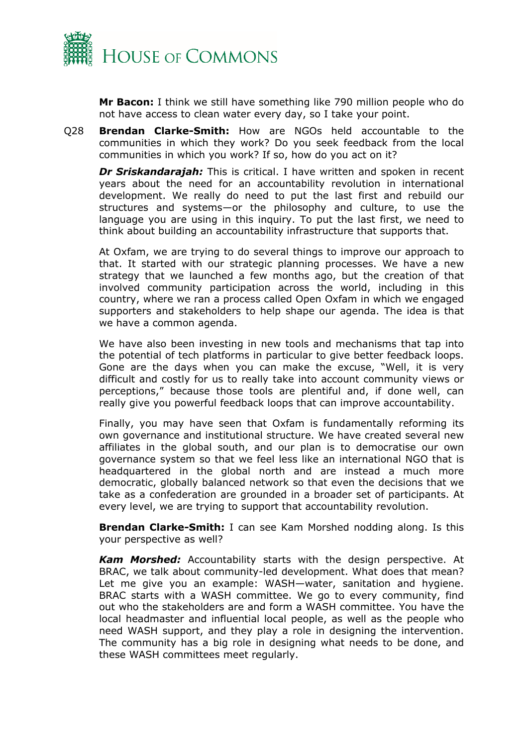

**Mr Bacon:** I think we still have something like 790 million people who do not have access to clean water every day, so I take your point.

Q28 **Brendan Clarke-Smith:** How are NGOs held accountable to the communities in which they work? Do you seek feedback from the local communities in which you work? If so, how do you act on it?

*Dr Sriskandarajah:* This is critical. I have written and spoken in recent years about the need for an accountability revolution in international development. We really do need to put the last first and rebuild our structures and systems—or the philosophy and culture, to use the language you are using in this inquiry. To put the last first, we need to think about building an accountability infrastructure that supports that.

At Oxfam, we are trying to do several things to improve our approach to that. It started with our strategic planning processes. We have a new strategy that we launched a few months ago, but the creation of that involved community participation across the world, including in this country, where we ran a process called Open Oxfam in which we engaged supporters and stakeholders to help shape our agenda. The idea is that we have a common agenda.

We have also been investing in new tools and mechanisms that tap into the potential of tech platforms in particular to give better feedback loops. Gone are the days when you can make the excuse, "Well, it is very difficult and costly for us to really take into account community views or perceptions," because those tools are plentiful and, if done well, can really give you powerful feedback loops that can improve accountability.

Finally, you may have seen that Oxfam is fundamentally reforming its own governance and institutional structure. We have created several new affiliates in the global south, and our plan is to democratise our own governance system so that we feel less like an international NGO that is headquartered in the global north and are instead a much more democratic, globally balanced network so that even the decisions that we take as a confederation are grounded in a broader set of participants. At every level, we are trying to support that accountability revolution.

**Brendan Clarke-Smith:** I can see Kam Morshed nodding along. Is this your perspective as well?

*Kam Morshed:* Accountability starts with the design perspective. At BRAC, we talk about community-led development. What does that mean? Let me give you an example: WASH—water, sanitation and hygiene. BRAC starts with a WASH committee. We go to every community, find out who the stakeholders are and form a WASH committee. You have the local headmaster and influential local people, as well as the people who need WASH support, and they play a role in designing the intervention. The community has a big role in designing what needs to be done, and these WASH committees meet regularly.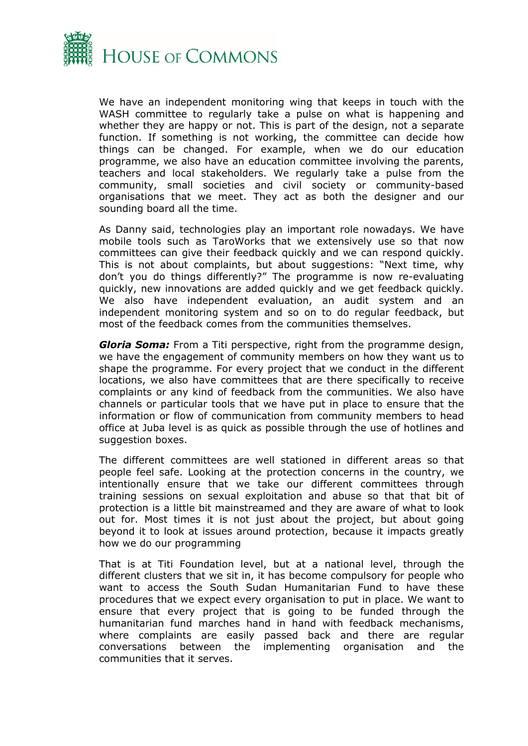

We have an independent monitoring wing that keeps in touch with the WASH committee to regularly take a pulse on what is happening and whether they are happy or not. This is part of the design, not a separate function. If something is not working, the committee can decide how things can be changed. For example, when we do our education programme, we also have an education committee involving the parents, teachers and local stakeholders. We regularly take a pulse from the community, small societies and civil society or community-based organisations that we meet. They act as both the designer and our sounding board all the time.

As Danny said, technologies play an important role nowadays. We have mobile tools such as TaroWorks that we extensively use so that now committees can give their feedback quickly and we can respond quickly. This is not about complaints, but about suggestions: "Next time, why don't you do things differently?" The programme is now re-evaluating quickly, new innovations are added quickly and we get feedback quickly. We also have independent evaluation, an audit system and an independent monitoring system and so on to do regular feedback, but most of the feedback comes from the communities themselves.

*Gloria Soma:* From a Titi perspective, right from the programme design, we have the engagement of community members on how they want us to shape the programme. For every project that we conduct in the different locations, we also have committees that are there specifically to receive complaints or any kind of feedback from the communities. We also have channels or particular tools that we have put in place to ensure that the information or flow of communication from community members to head office at Juba level is as quick as possible through the use of hotlines and suggestion boxes.

The different committees are well stationed in different areas so that people feel safe. Looking at the protection concerns in the country, we intentionally ensure that we take our different committees through training sessions on sexual exploitation and abuse so that that bit of protection is a little bit mainstreamed and they are aware of what to look out for. Most times it is not just about the project, but about going beyond it to look at issues around protection, because it impacts greatly how we do our programming

That is at Titi Foundation level, but at a national level, through the different clusters that we sit in, it has become compulsory for people who want to access the South Sudan Humanitarian Fund to have these procedures that we expect every organisation to put in place. We want to ensure that every project that is going to be funded through the humanitarian fund marches hand in hand with feedback mechanisms, where complaints are easily passed back and there are regular conversations between the implementing organisation and the communities that it serves.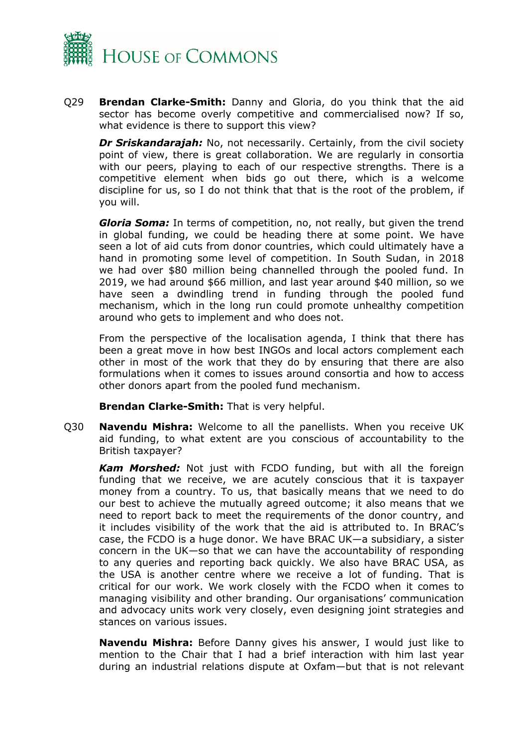

Q29 **Brendan Clarke-Smith:** Danny and Gloria, do you think that the aid sector has become overly competitive and commercialised now? If so, what evidence is there to support this view?

*Dr Sriskandarajah:* No, not necessarily. Certainly, from the civil society point of view, there is great collaboration. We are regularly in consortia with our peers, playing to each of our respective strengths. There is a competitive element when bids go out there, which is a welcome discipline for us, so I do not think that that is the root of the problem, if you will.

*Gloria Soma:* In terms of competition, no, not really, but given the trend in global funding, we could be heading there at some point. We have seen a lot of aid cuts from donor countries, which could ultimately have a hand in promoting some level of competition. In South Sudan, in 2018 we had over \$80 million being channelled through the pooled fund. In 2019, we had around \$66 million, and last year around \$40 million, so we have seen a dwindling trend in funding through the pooled fund mechanism, which in the long run could promote unhealthy competition around who gets to implement and who does not.

From the perspective of the localisation agenda, I think that there has been a great move in how best INGOs and local actors complement each other in most of the work that they do by ensuring that there are also formulations when it comes to issues around consortia and how to access other donors apart from the pooled fund mechanism.

**Brendan Clarke-Smith:** That is very helpful.

Q30 **Navendu Mishra:** Welcome to all the panellists. When you receive UK aid funding, to what extent are you conscious of accountability to the British taxpayer?

*Kam Morshed:* Not just with FCDO funding, but with all the foreign funding that we receive, we are acutely conscious that it is taxpayer money from a country. To us, that basically means that we need to do our best to achieve the mutually agreed outcome; it also means that we need to report back to meet the requirements of the donor country, and it includes visibility of the work that the aid is attributed to. In BRAC's case, the FCDO is a huge donor. We have BRAC UK—a subsidiary, a sister concern in the UK—so that we can have the accountability of responding to any queries and reporting back quickly. We also have BRAC USA, as the USA is another centre where we receive a lot of funding. That is critical for our work. We work closely with the FCDO when it comes to managing visibility and other branding. Our organisations' communication and advocacy units work very closely, even designing joint strategies and stances on various issues.

**Navendu Mishra:** Before Danny gives his answer, I would just like to mention to the Chair that I had a brief interaction with him last year during an industrial relations dispute at Oxfam—but that is not relevant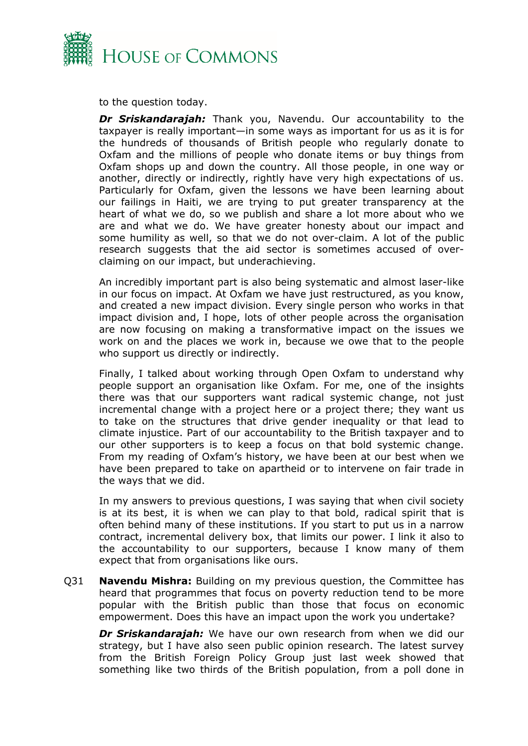

to the question today.

*Dr Sriskandarajah:* Thank you, Navendu. Our accountability to the taxpayer is really important—in some ways as important for us as it is for the hundreds of thousands of British people who regularly donate to Oxfam and the millions of people who donate items or buy things from Oxfam shops up and down the country. All those people, in one way or another, directly or indirectly, rightly have very high expectations of us. Particularly for Oxfam, given the lessons we have been learning about our failings in Haiti, we are trying to put greater transparency at the heart of what we do, so we publish and share a lot more about who we are and what we do. We have greater honesty about our impact and some humility as well, so that we do not over-claim. A lot of the public research suggests that the aid sector is sometimes accused of overclaiming on our impact, but underachieving.

An incredibly important part is also being systematic and almost laser-like in our focus on impact. At Oxfam we have just restructured, as you know, and created a new impact division. Every single person who works in that impact division and, I hope, lots of other people across the organisation are now focusing on making a transformative impact on the issues we work on and the places we work in, because we owe that to the people who support us directly or indirectly.

Finally, I talked about working through Open Oxfam to understand why people support an organisation like Oxfam. For me, one of the insights there was that our supporters want radical systemic change, not just incremental change with a project here or a project there; they want us to take on the structures that drive gender inequality or that lead to climate injustice. Part of our accountability to the British taxpayer and to our other supporters is to keep a focus on that bold systemic change. From my reading of Oxfam's history, we have been at our best when we have been prepared to take on apartheid or to intervene on fair trade in the ways that we did.

In my answers to previous questions, I was saying that when civil society is at its best, it is when we can play to that bold, radical spirit that is often behind many of these institutions. If you start to put us in a narrow contract, incremental delivery box, that limits our power. I link it also to the accountability to our supporters, because I know many of them expect that from organisations like ours.

Q31 **Navendu Mishra:** Building on my previous question, the Committee has heard that programmes that focus on poverty reduction tend to be more popular with the British public than those that focus on economic empowerment. Does this have an impact upon the work you undertake?

*Dr Sriskandarajah:* We have our own research from when we did our strategy, but I have also seen public opinion research. The latest survey from the British Foreign Policy Group just last week showed that something like two thirds of the British population, from a poll done in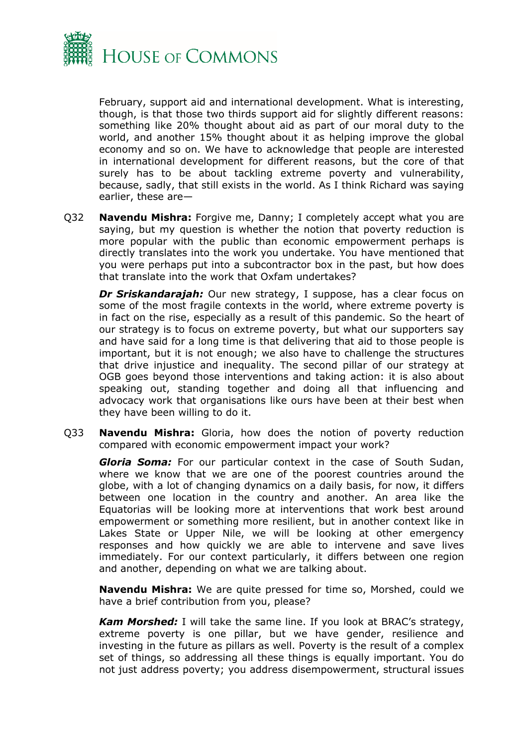

February, support aid and international development. What is interesting, though, is that those two thirds support aid for slightly different reasons: something like 20% thought about aid as part of our moral duty to the world, and another 15% thought about it as helping improve the global economy and so on. We have to acknowledge that people are interested in international development for different reasons, but the core of that surely has to be about tackling extreme poverty and vulnerability, because, sadly, that still exists in the world. As I think Richard was saying earlier, these are—

Q32 **Navendu Mishra:** Forgive me, Danny; I completely accept what you are saying, but my question is whether the notion that poverty reduction is more popular with the public than economic empowerment perhaps is directly translates into the work you undertake. You have mentioned that you were perhaps put into a subcontractor box in the past, but how does that translate into the work that Oxfam undertakes?

*Dr Sriskandarajah:* Our new strategy, I suppose, has a clear focus on some of the most fragile contexts in the world, where extreme poverty is in fact on the rise, especially as a result of this pandemic. So the heart of our strategy is to focus on extreme poverty, but what our supporters say and have said for a long time is that delivering that aid to those people is important, but it is not enough; we also have to challenge the structures that drive injustice and inequality. The second pillar of our strategy at OGB goes beyond those interventions and taking action: it is also about speaking out, standing together and doing all that influencing and advocacy work that organisations like ours have been at their best when they have been willing to do it.

Q33 **Navendu Mishra:** Gloria, how does the notion of poverty reduction compared with economic empowerment impact your work?

*Gloria Soma:* For our particular context in the case of South Sudan, where we know that we are one of the poorest countries around the globe, with a lot of changing dynamics on a daily basis, for now, it differs between one location in the country and another. An area like the Equatorias will be looking more at interventions that work best around empowerment or something more resilient, but in another context like in Lakes State or Upper Nile, we will be looking at other emergency responses and how quickly we are able to intervene and save lives immediately. For our context particularly, it differs between one region and another, depending on what we are talking about.

**Navendu Mishra:** We are quite pressed for time so, Morshed, could we have a brief contribution from you, please?

*Kam Morshed:* I will take the same line. If you look at BRAC's strategy, extreme poverty is one pillar, but we have gender, resilience and investing in the future as pillars as well. Poverty is the result of a complex set of things, so addressing all these things is equally important. You do not just address poverty; you address disempowerment, structural issues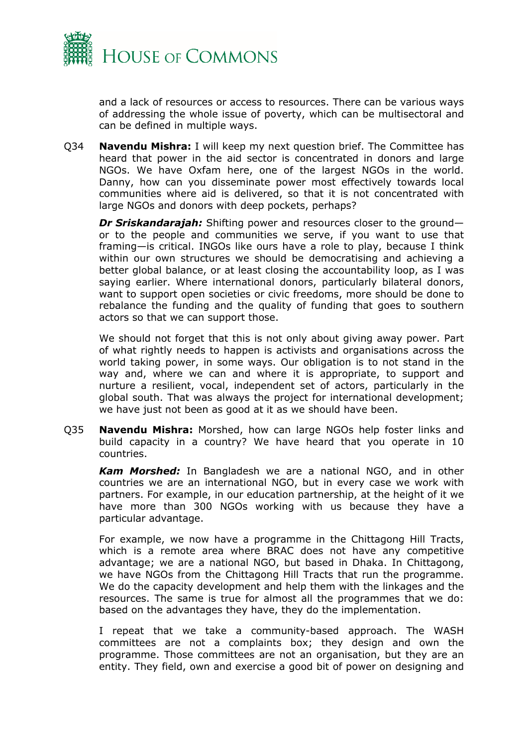

and a lack of resources or access to resources. There can be various ways of addressing the whole issue of poverty, which can be multisectoral and can be defined in multiple ways.

Q34 **Navendu Mishra:** I will keep my next question brief. The Committee has heard that power in the aid sector is concentrated in donors and large NGOs. We have Oxfam here, one of the largest NGOs in the world. Danny, how can you disseminate power most effectively towards local communities where aid is delivered, so that it is not concentrated with large NGOs and donors with deep pockets, perhaps?

*Dr Sriskandarajah:* Shifting power and resources closer to the ground or to the people and communities we serve, if you want to use that framing—is critical. INGOs like ours have a role to play, because I think within our own structures we should be democratising and achieving a better global balance, or at least closing the accountability loop, as I was saying earlier. Where international donors, particularly bilateral donors, want to support open societies or civic freedoms, more should be done to rebalance the funding and the quality of funding that goes to southern actors so that we can support those.

We should not forget that this is not only about giving away power. Part of what rightly needs to happen is activists and organisations across the world taking power, in some ways. Our obligation is to not stand in the way and, where we can and where it is appropriate, to support and nurture a resilient, vocal, independent set of actors, particularly in the global south. That was always the project for international development; we have just not been as good at it as we should have been.

Q35 **Navendu Mishra:** Morshed, how can large NGOs help foster links and build capacity in a country? We have heard that you operate in 10 countries.

*Kam Morshed:* In Bangladesh we are a national NGO, and in other countries we are an international NGO, but in every case we work with partners. For example, in our education partnership, at the height of it we have more than 300 NGOs working with us because they have a particular advantage.

For example, we now have a programme in the Chittagong Hill Tracts, which is a remote area where BRAC does not have any competitive advantage; we are a national NGO, but based in Dhaka. In Chittagong, we have NGOs from the Chittagong Hill Tracts that run the programme. We do the capacity development and help them with the linkages and the resources. The same is true for almost all the programmes that we do: based on the advantages they have, they do the implementation.

I repeat that we take a community-based approach. The WASH committees are not a complaints box; they design and own the programme. Those committees are not an organisation, but they are an entity. They field, own and exercise a good bit of power on designing and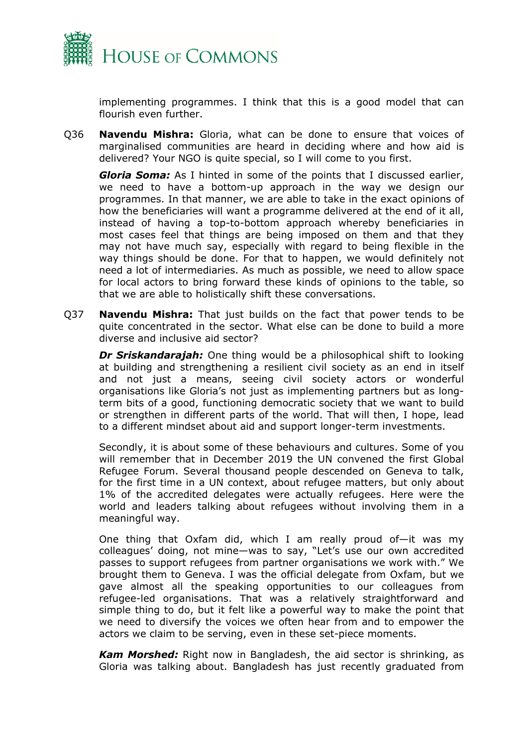

implementing programmes. I think that this is a good model that can flourish even further.

Q36 **Navendu Mishra:** Gloria, what can be done to ensure that voices of marginalised communities are heard in deciding where and how aid is delivered? Your NGO is quite special, so I will come to you first.

*Gloria Soma:* As I hinted in some of the points that I discussed earlier, we need to have a bottom-up approach in the way we design our programmes. In that manner, we are able to take in the exact opinions of how the beneficiaries will want a programme delivered at the end of it all, instead of having a top-to-bottom approach whereby beneficiaries in most cases feel that things are being imposed on them and that they may not have much say, especially with regard to being flexible in the way things should be done. For that to happen, we would definitely not need a lot of intermediaries. As much as possible, we need to allow space for local actors to bring forward these kinds of opinions to the table, so that we are able to holistically shift these conversations.

Q37 **Navendu Mishra:** That just builds on the fact that power tends to be quite concentrated in the sector. What else can be done to build a more diverse and inclusive aid sector?

*Dr Sriskandarajah:* One thing would be a philosophical shift to looking at building and strengthening a resilient civil society as an end in itself and not just a means, seeing civil society actors or wonderful organisations like Gloria's not just as implementing partners but as longterm bits of a good, functioning democratic society that we want to build or strengthen in different parts of the world. That will then, I hope, lead to a different mindset about aid and support longer-term investments.

Secondly, it is about some of these behaviours and cultures. Some of you will remember that in December 2019 the UN convened the first Global Refugee Forum. Several thousand people descended on Geneva to talk, for the first time in a UN context, about refugee matters, but only about 1% of the accredited delegates were actually refugees. Here were the world and leaders talking about refugees without involving them in a meaningful way.

One thing that Oxfam did, which I am really proud of—it was my colleagues' doing, not mine—was to say, "Let's use our own accredited passes to support refugees from partner organisations we work with." We brought them to Geneva. I was the official delegate from Oxfam, but we gave almost all the speaking opportunities to our colleagues from refugee-led organisations. That was a relatively straightforward and simple thing to do, but it felt like a powerful way to make the point that we need to diversify the voices we often hear from and to empower the actors we claim to be serving, even in these set-piece moments.

*Kam Morshed:* Right now in Bangladesh, the aid sector is shrinking, as Gloria was talking about. Bangladesh has just recently graduated from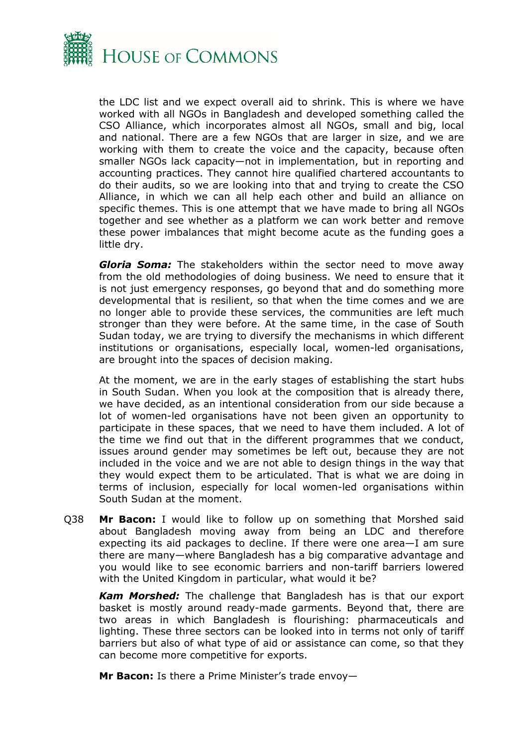

the LDC list and we expect overall aid to shrink. This is where we have worked with all NGOs in Bangladesh and developed something called the CSO Alliance, which incorporates almost all NGOs, small and big, local and national. There are a few NGOs that are larger in size, and we are working with them to create the voice and the capacity, because often smaller NGOs lack capacity—not in implementation, but in reporting and accounting practices. They cannot hire qualified chartered accountants to do their audits, so we are looking into that and trying to create the CSO Alliance, in which we can all help each other and build an alliance on specific themes. This is one attempt that we have made to bring all NGOs together and see whether as a platform we can work better and remove these power imbalances that might become acute as the funding goes a little dry.

*Gloria Soma:* The stakeholders within the sector need to move away from the old methodologies of doing business. We need to ensure that it is not just emergency responses, go beyond that and do something more developmental that is resilient, so that when the time comes and we are no longer able to provide these services, the communities are left much stronger than they were before. At the same time, in the case of South Sudan today, we are trying to diversify the mechanisms in which different institutions or organisations, especially local, women-led organisations, are brought into the spaces of decision making.

At the moment, we are in the early stages of establishing the start hubs in South Sudan. When you look at the composition that is already there, we have decided, as an intentional consideration from our side because a lot of women-led organisations have not been given an opportunity to participate in these spaces, that we need to have them included. A lot of the time we find out that in the different programmes that we conduct, issues around gender may sometimes be left out, because they are not included in the voice and we are not able to design things in the way that they would expect them to be articulated. That is what we are doing in terms of inclusion, especially for local women-led organisations within South Sudan at the moment.

Q38 **Mr Bacon:** I would like to follow up on something that Morshed said about Bangladesh moving away from being an LDC and therefore expecting its aid packages to decline. If there were one area—I am sure there are many—where Bangladesh has a big comparative advantage and you would like to see economic barriers and non-tariff barriers lowered with the United Kingdom in particular, what would it be?

*Kam Morshed:* The challenge that Bangladesh has is that our export basket is mostly around ready-made garments. Beyond that, there are two areas in which Bangladesh is flourishing: pharmaceuticals and lighting. These three sectors can be looked into in terms not only of tariff barriers but also of what type of aid or assistance can come, so that they can become more competitive for exports.

**Mr Bacon:** Is there a Prime Minister's trade envoy—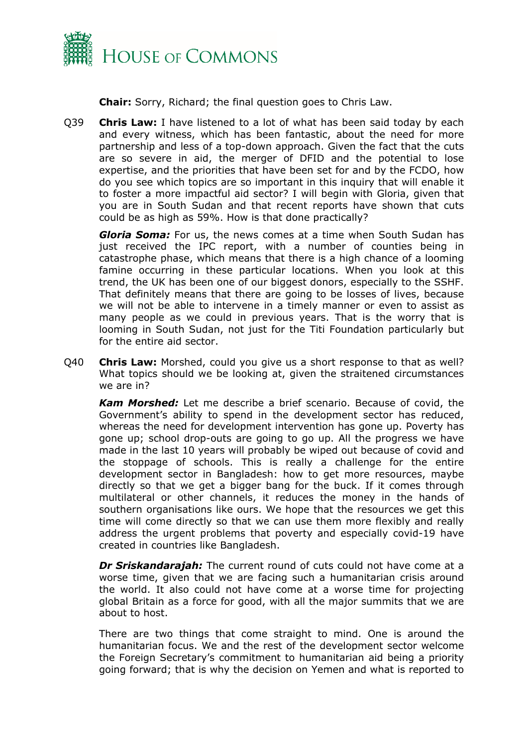

**Chair:** Sorry, Richard; the final question goes to Chris Law.

Q39 **Chris Law:** I have listened to a lot of what has been said today by each and every witness, which has been fantastic, about the need for more partnership and less of a top-down approach. Given the fact that the cuts are so severe in aid, the merger of DFID and the potential to lose expertise, and the priorities that have been set for and by the FCDO, how do you see which topics are so important in this inquiry that will enable it to foster a more impactful aid sector? I will begin with Gloria, given that you are in South Sudan and that recent reports have shown that cuts could be as high as 59%. How is that done practically?

*Gloria Soma:* For us, the news comes at a time when South Sudan has just received the IPC report, with a number of counties being in catastrophe phase, which means that there is a high chance of a looming famine occurring in these particular locations. When you look at this trend, the UK has been one of our biggest donors, especially to the SSHF. That definitely means that there are going to be losses of lives, because we will not be able to intervene in a timely manner or even to assist as many people as we could in previous years. That is the worry that is looming in South Sudan, not just for the Titi Foundation particularly but for the entire aid sector.

Q40 **Chris Law:** Morshed, could you give us a short response to that as well? What topics should we be looking at, given the straitened circumstances we are in?

*Kam Morshed:* Let me describe a brief scenario. Because of covid, the Government's ability to spend in the development sector has reduced, whereas the need for development intervention has gone up. Poverty has gone up; school drop-outs are going to go up. All the progress we have made in the last 10 years will probably be wiped out because of covid and the stoppage of schools. This is really a challenge for the entire development sector in Bangladesh: how to get more resources, maybe directly so that we get a bigger bang for the buck. If it comes through multilateral or other channels, it reduces the money in the hands of southern organisations like ours. We hope that the resources we get this time will come directly so that we can use them more flexibly and really address the urgent problems that poverty and especially covid-19 have created in countries like Bangladesh.

*Dr Sriskandarajah:* The current round of cuts could not have come at a worse time, given that we are facing such a humanitarian crisis around the world. It also could not have come at a worse time for projecting global Britain as a force for good, with all the major summits that we are about to host.

There are two things that come straight to mind. One is around the humanitarian focus. We and the rest of the development sector welcome the Foreign Secretary's commitment to humanitarian aid being a priority going forward; that is why the decision on Yemen and what is reported to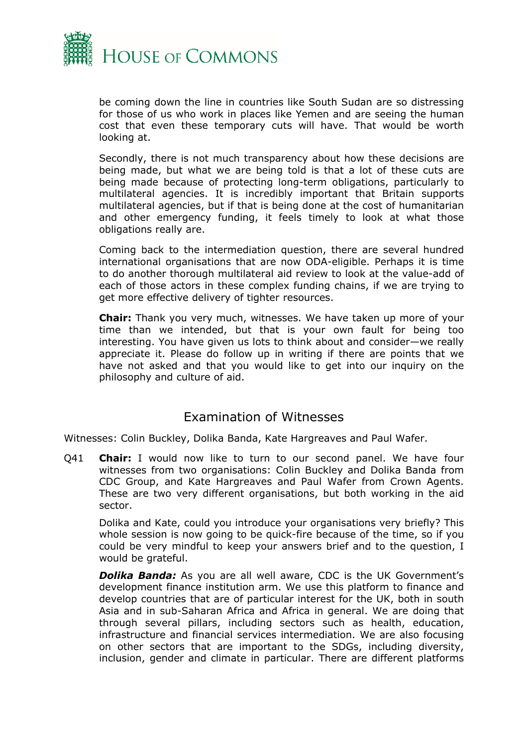

be coming down the line in countries like South Sudan are so distressing for those of us who work in places like Yemen and are seeing the human cost that even these temporary cuts will have. That would be worth looking at.

Secondly, there is not much transparency about how these decisions are being made, but what we are being told is that a lot of these cuts are being made because of protecting long-term obligations, particularly to multilateral agencies. It is incredibly important that Britain supports multilateral agencies, but if that is being done at the cost of humanitarian and other emergency funding, it feels timely to look at what those obligations really are.

Coming back to the intermediation question, there are several hundred international organisations that are now ODA-eligible. Perhaps it is time to do another thorough multilateral aid review to look at the value-add of each of those actors in these complex funding chains, if we are trying to get more effective delivery of tighter resources.

**Chair:** Thank you very much, witnesses. We have taken up more of your time than we intended, but that is your own fault for being too interesting. You have given us lots to think about and consider—we really appreciate it. Please do follow up in writing if there are points that we have not asked and that you would like to get into our inquiry on the philosophy and culture of aid.

## Examination of Witnesses

<span id="page-20-0"></span>Witnesses: Colin Buckley, Dolika Banda, Kate Hargreaves and Paul Wafer.

Q41 **Chair:** I would now like to turn to our second panel. We have four witnesses from two organisations: Colin Buckley and Dolika Banda from CDC Group, and Kate Hargreaves and Paul Wafer from Crown Agents. These are two very different organisations, but both working in the aid sector.

Dolika and Kate, could you introduce your organisations very briefly? This whole session is now going to be quick-fire because of the time, so if you could be very mindful to keep your answers brief and to the question, I would be grateful.

*Dolika Banda:* As you are all well aware, CDC is the UK Government's development finance institution arm. We use this platform to finance and develop countries that are of particular interest for the UK, both in south Asia and in sub-Saharan Africa and Africa in general. We are doing that through several pillars, including sectors such as health, education, infrastructure and financial services intermediation. We are also focusing on other sectors that are important to the SDGs, including diversity, inclusion, gender and climate in particular. There are different platforms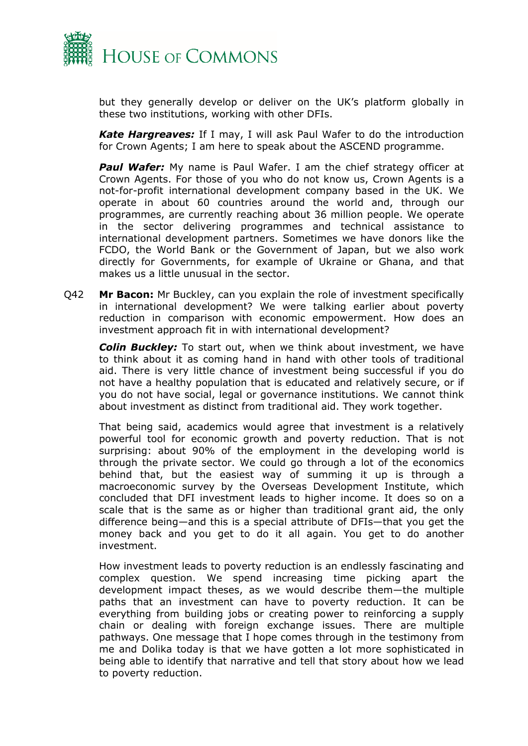

but they generally develop or deliver on the UK's platform globally in these two institutions, working with other DFIs.

*Kate Hargreaves:* If I may, I will ask Paul Wafer to do the introduction for Crown Agents; I am here to speak about the ASCEND programme.

**Paul Wafer:** My name is Paul Wafer. I am the chief strategy officer at Crown Agents. For those of you who do not know us, Crown Agents is a not-for-profit international development company based in the UK. We operate in about 60 countries around the world and, through our programmes, are currently reaching about 36 million people. We operate in the sector delivering programmes and technical assistance to international development partners. Sometimes we have donors like the FCDO, the World Bank or the Government of Japan, but we also work directly for Governments, for example of Ukraine or Ghana, and that makes us a little unusual in the sector.

Q42 **Mr Bacon:** Mr Buckley, can you explain the role of investment specifically in international development? We were talking earlier about poverty reduction in comparison with economic empowerment. How does an investment approach fit in with international development?

*Colin Buckley:* To start out, when we think about investment, we have to think about it as coming hand in hand with other tools of traditional aid. There is very little chance of investment being successful if you do not have a healthy population that is educated and relatively secure, or if you do not have social, legal or governance institutions. We cannot think about investment as distinct from traditional aid. They work together.

That being said, academics would agree that investment is a relatively powerful tool for economic growth and poverty reduction. That is not surprising: about 90% of the employment in the developing world is through the private sector. We could go through a lot of the economics behind that, but the easiest way of summing it up is through a macroeconomic survey by the Overseas Development Institute, which concluded that DFI investment leads to higher income. It does so on a scale that is the same as or higher than traditional grant aid, the only difference being—and this is a special attribute of DFIs—that you get the money back and you get to do it all again. You get to do another investment.

How investment leads to poverty reduction is an endlessly fascinating and complex question. We spend increasing time picking apart the development impact theses, as we would describe them—the multiple paths that an investment can have to poverty reduction. It can be everything from building jobs or creating power to reinforcing a supply chain or dealing with foreign exchange issues. There are multiple pathways. One message that I hope comes through in the testimony from me and Dolika today is that we have gotten a lot more sophisticated in being able to identify that narrative and tell that story about how we lead to poverty reduction.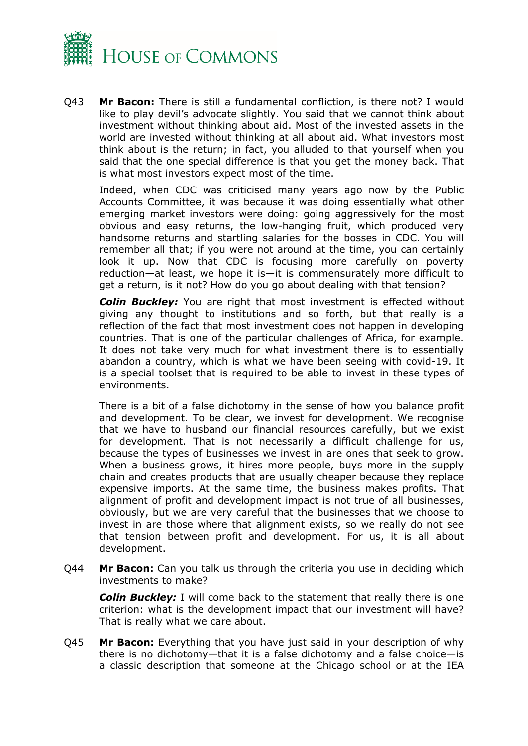

Q43 **Mr Bacon:** There is still a fundamental confliction, is there not? I would like to play devil's advocate slightly. You said that we cannot think about investment without thinking about aid. Most of the invested assets in the world are invested without thinking at all about aid. What investors most think about is the return; in fact, you alluded to that yourself when you said that the one special difference is that you get the money back. That is what most investors expect most of the time.

Indeed, when CDC was criticised many years ago now by the Public Accounts Committee, it was because it was doing essentially what other emerging market investors were doing: going aggressively for the most obvious and easy returns, the low-hanging fruit, which produced very handsome returns and startling salaries for the bosses in CDC. You will remember all that; if you were not around at the time, you can certainly look it up. Now that CDC is focusing more carefully on poverty reduction—at least, we hope it is—it is commensurately more difficult to get a return, is it not? How do you go about dealing with that tension?

**Colin Buckley:** You are right that most investment is effected without giving any thought to institutions and so forth, but that really is a reflection of the fact that most investment does not happen in developing countries. That is one of the particular challenges of Africa, for example. It does not take very much for what investment there is to essentially abandon a country, which is what we have been seeing with covid-19. It is a special toolset that is required to be able to invest in these types of environments.

There is a bit of a false dichotomy in the sense of how you balance profit and development. To be clear, we invest for development. We recognise that we have to husband our financial resources carefully, but we exist for development. That is not necessarily a difficult challenge for us, because the types of businesses we invest in are ones that seek to grow. When a business grows, it hires more people, buys more in the supply chain and creates products that are usually cheaper because they replace expensive imports. At the same time, the business makes profits. That alignment of profit and development impact is not true of all businesses, obviously, but we are very careful that the businesses that we choose to invest in are those where that alignment exists, so we really do not see that tension between profit and development. For us, it is all about development.

Q44 **Mr Bacon:** Can you talk us through the criteria you use in deciding which investments to make?

*Colin Buckley:* I will come back to the statement that really there is one criterion: what is the development impact that our investment will have? That is really what we care about.

Q45 **Mr Bacon:** Everything that you have just said in your description of why there is no dichotomy—that it is a false dichotomy and a false choice—is a classic description that someone at the Chicago school or at the IEA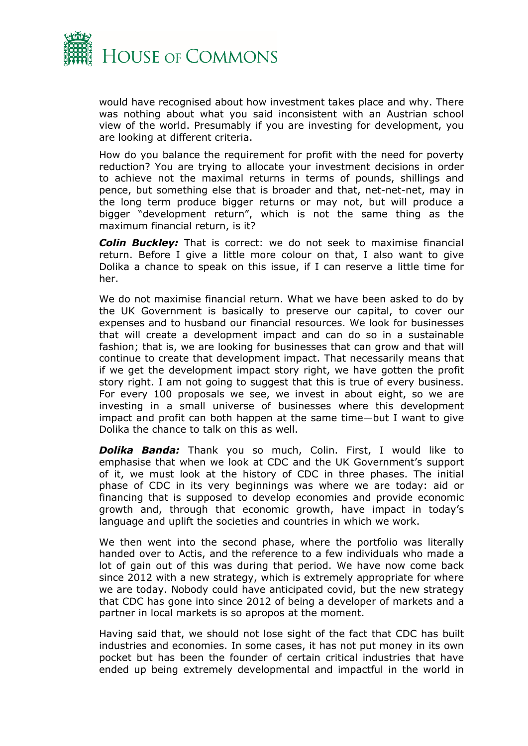

would have recognised about how investment takes place and why. There was nothing about what you said inconsistent with an Austrian school view of the world. Presumably if you are investing for development, you are looking at different criteria.

How do you balance the requirement for profit with the need for poverty reduction? You are trying to allocate your investment decisions in order to achieve not the maximal returns in terms of pounds, shillings and pence, but something else that is broader and that, net-net-net, may in the long term produce bigger returns or may not, but will produce a bigger "development return", which is not the same thing as the maximum financial return, is it?

*Colin Buckley:* That is correct: we do not seek to maximise financial return. Before I give a little more colour on that, I also want to give Dolika a chance to speak on this issue, if I can reserve a little time for her.

We do not maximise financial return. What we have been asked to do by the UK Government is basically to preserve our capital, to cover our expenses and to husband our financial resources. We look for businesses that will create a development impact and can do so in a sustainable fashion; that is, we are looking for businesses that can grow and that will continue to create that development impact. That necessarily means that if we get the development impact story right, we have gotten the profit story right. I am not going to suggest that this is true of every business. For every 100 proposals we see, we invest in about eight, so we are investing in a small universe of businesses where this development impact and profit can both happen at the same time—but I want to give Dolika the chance to talk on this as well.

*Dolika Banda:* Thank you so much, Colin. First, I would like to emphasise that when we look at CDC and the UK Government's support of it, we must look at the history of CDC in three phases. The initial phase of CDC in its very beginnings was where we are today: aid or financing that is supposed to develop economies and provide economic growth and, through that economic growth, have impact in today's language and uplift the societies and countries in which we work.

We then went into the second phase, where the portfolio was literally handed over to Actis, and the reference to a few individuals who made a lot of gain out of this was during that period. We have now come back since 2012 with a new strategy, which is extremely appropriate for where we are today. Nobody could have anticipated covid, but the new strategy that CDC has gone into since 2012 of being a developer of markets and a partner in local markets is so apropos at the moment.

Having said that, we should not lose sight of the fact that CDC has built industries and economies. In some cases, it has not put money in its own pocket but has been the founder of certain critical industries that have ended up being extremely developmental and impactful in the world in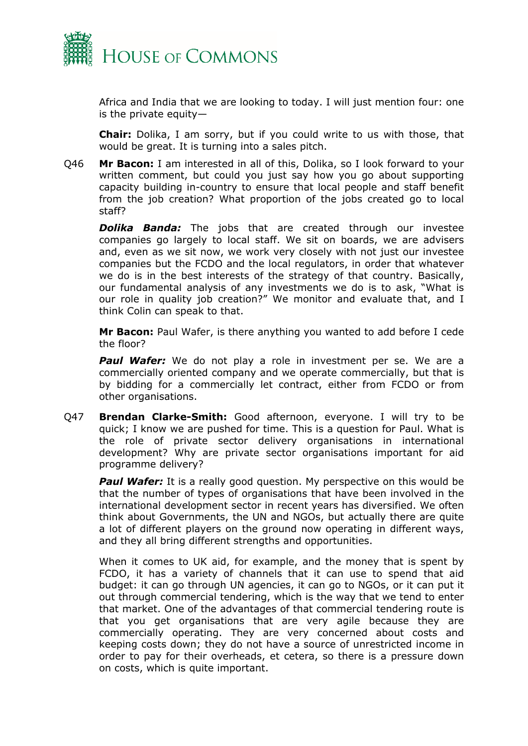

Africa and India that we are looking to today. I will just mention four: one is the private equity—

**Chair:** Dolika, I am sorry, but if you could write to us with those, that would be great. It is turning into a sales pitch.

Q46 **Mr Bacon:** I am interested in all of this, Dolika, so I look forward to your written comment, but could you just say how you go about supporting capacity building in-country to ensure that local people and staff benefit from the job creation? What proportion of the jobs created go to local staff?

*Dolika Banda:* The jobs that are created through our investee companies go largely to local staff. We sit on boards, we are advisers and, even as we sit now, we work very closely with not just our investee companies but the FCDO and the local regulators, in order that whatever we do is in the best interests of the strategy of that country. Basically, our fundamental analysis of any investments we do is to ask, "What is our role in quality job creation?" We monitor and evaluate that, and I think Colin can speak to that.

**Mr Bacon:** Paul Wafer, is there anything you wanted to add before I cede the floor?

*Paul Wafer:* We do not play a role in investment per se. We are a commercially oriented company and we operate commercially, but that is by bidding for a commercially let contract, either from FCDO or from other organisations.

Q47 **Brendan Clarke-Smith:** Good afternoon, everyone. I will try to be quick; I know we are pushed for time. This is a question for Paul. What is the role of private sector delivery organisations in international development? Why are private sector organisations important for aid programme delivery?

*Paul Wafer:* It is a really good question. My perspective on this would be that the number of types of organisations that have been involved in the international development sector in recent years has diversified. We often think about Governments, the UN and NGOs, but actually there are quite a lot of different players on the ground now operating in different ways, and they all bring different strengths and opportunities.

When it comes to UK aid, for example, and the money that is spent by FCDO, it has a variety of channels that it can use to spend that aid budget: it can go through UN agencies, it can go to NGOs, or it can put it out through commercial tendering, which is the way that we tend to enter that market. One of the advantages of that commercial tendering route is that you get organisations that are very agile because they are commercially operating. They are very concerned about costs and keeping costs down; they do not have a source of unrestricted income in order to pay for their overheads, et cetera, so there is a pressure down on costs, which is quite important.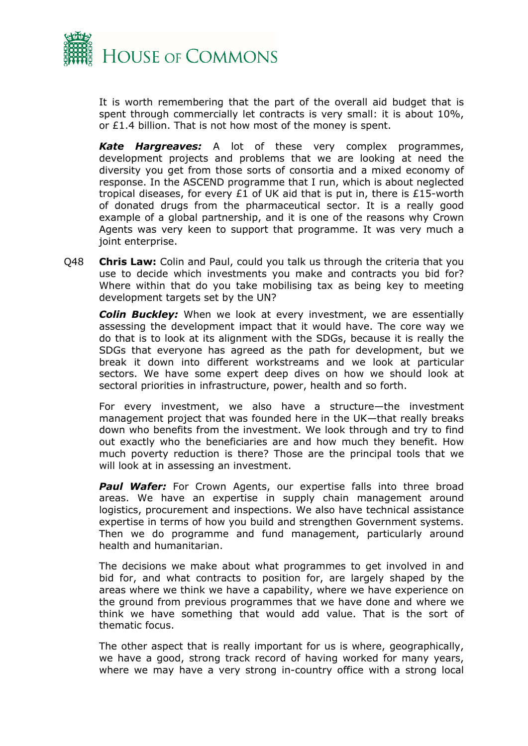

It is worth remembering that the part of the overall aid budget that is spent through commercially let contracts is very small: it is about 10%, or £1.4 billion. That is not how most of the money is spent.

*Kate Hargreaves:* A lot of these very complex programmes, development projects and problems that we are looking at need the diversity you get from those sorts of consortia and a mixed economy of response. In the ASCEND programme that I run, which is about neglected tropical diseases, for every £1 of UK aid that is put in, there is £15-worth of donated drugs from the pharmaceutical sector. It is a really good example of a global partnership, and it is one of the reasons why Crown Agents was very keen to support that programme. It was very much a joint enterprise.

Q48 **Chris Law:** Colin and Paul, could you talk us through the criteria that you use to decide which investments you make and contracts you bid for? Where within that do you take mobilising tax as being key to meeting development targets set by the UN?

*Colin Buckley:* When we look at every investment, we are essentially assessing the development impact that it would have. The core way we do that is to look at its alignment with the SDGs, because it is really the SDGs that everyone has agreed as the path for development, but we break it down into different workstreams and we look at particular sectors. We have some expert deep dives on how we should look at sectoral priorities in infrastructure, power, health and so forth.

For every investment, we also have a structure—the investment management project that was founded here in the UK—that really breaks down who benefits from the investment. We look through and try to find out exactly who the beneficiaries are and how much they benefit. How much poverty reduction is there? Those are the principal tools that we will look at in assessing an investment.

**Paul Wafer:** For Crown Agents, our expertise falls into three broad areas. We have an expertise in supply chain management around logistics, procurement and inspections. We also have technical assistance expertise in terms of how you build and strengthen Government systems. Then we do programme and fund management, particularly around health and humanitarian.

The decisions we make about what programmes to get involved in and bid for, and what contracts to position for, are largely shaped by the areas where we think we have a capability, where we have experience on the ground from previous programmes that we have done and where we think we have something that would add value. That is the sort of thematic focus.

The other aspect that is really important for us is where, geographically, we have a good, strong track record of having worked for many years, where we may have a very strong in-country office with a strong local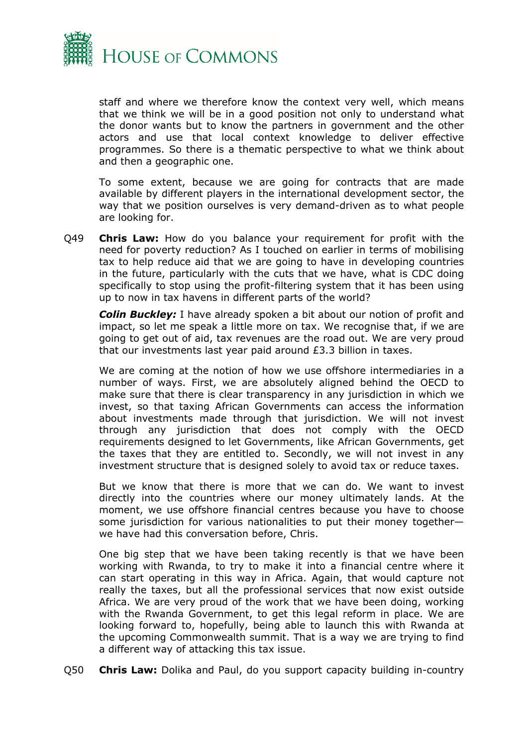

staff and where we therefore know the context very well, which means that we think we will be in a good position not only to understand what the donor wants but to know the partners in government and the other actors and use that local context knowledge to deliver effective programmes. So there is a thematic perspective to what we think about and then a geographic one.

To some extent, because we are going for contracts that are made available by different players in the international development sector, the way that we position ourselves is very demand-driven as to what people are looking for.

Q49 **Chris Law:** How do you balance your requirement for profit with the need for poverty reduction? As I touched on earlier in terms of mobilising tax to help reduce aid that we are going to have in developing countries in the future, particularly with the cuts that we have, what is CDC doing specifically to stop using the profit-filtering system that it has been using up to now in tax havens in different parts of the world?

*Colin Buckley:* I have already spoken a bit about our notion of profit and impact, so let me speak a little more on tax. We recognise that, if we are going to get out of aid, tax revenues are the road out. We are very proud that our investments last year paid around £3.3 billion in taxes.

We are coming at the notion of how we use offshore intermediaries in a number of ways. First, we are absolutely aligned behind the OECD to make sure that there is clear transparency in any jurisdiction in which we invest, so that taxing African Governments can access the information about investments made through that jurisdiction. We will not invest through any jurisdiction that does not comply with the OECD requirements designed to let Governments, like African Governments, get the taxes that they are entitled to. Secondly, we will not invest in any investment structure that is designed solely to avoid tax or reduce taxes.

But we know that there is more that we can do. We want to invest directly into the countries where our money ultimately lands. At the moment, we use offshore financial centres because you have to choose some jurisdiction for various nationalities to put their money together we have had this conversation before, Chris.

One big step that we have been taking recently is that we have been working with Rwanda, to try to make it into a financial centre where it can start operating in this way in Africa. Again, that would capture not really the taxes, but all the professional services that now exist outside Africa. We are very proud of the work that we have been doing, working with the Rwanda Government, to get this legal reform in place. We are looking forward to, hopefully, being able to launch this with Rwanda at the upcoming Commonwealth summit. That is a way we are trying to find a different way of attacking this tax issue.

Q50 **Chris Law:** Dolika and Paul, do you support capacity building in-country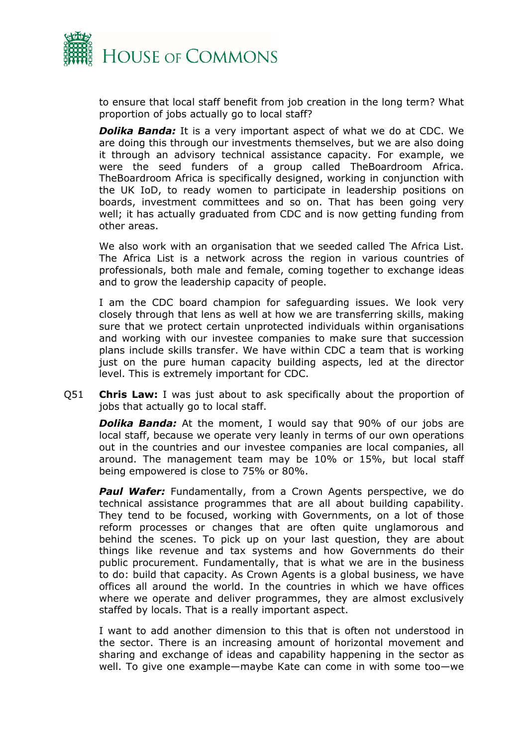

to ensure that local staff benefit from job creation in the long term? What proportion of jobs actually go to local staff?

*Dolika Banda:* It is a very important aspect of what we do at CDC. We are doing this through our investments themselves, but we are also doing it through an advisory technical assistance capacity. For example, we were the seed funders of a group called TheBoardroom Africa. TheBoardroom Africa is specifically designed, working in conjunction with the UK IoD, to ready women to participate in leadership positions on boards, investment committees and so on. That has been going very well; it has actually graduated from CDC and is now getting funding from other areas.

We also work with an organisation that we seeded called The Africa List. The Africa List is a network across the region in various countries of professionals, both male and female, coming together to exchange ideas and to grow the leadership capacity of people.

I am the CDC board champion for safeguarding issues. We look very closely through that lens as well at how we are transferring skills, making sure that we protect certain unprotected individuals within organisations and working with our investee companies to make sure that succession plans include skills transfer. We have within CDC a team that is working just on the pure human capacity building aspects, led at the director level. This is extremely important for CDC.

Q51 **Chris Law:** I was just about to ask specifically about the proportion of jobs that actually go to local staff.

*Dolika Banda:* At the moment, I would say that 90% of our jobs are local staff, because we operate very leanly in terms of our own operations out in the countries and our investee companies are local companies, all around. The management team may be 10% or 15%, but local staff being empowered is close to 75% or 80%.

**Paul Wafer:** Fundamentally, from a Crown Agents perspective, we do technical assistance programmes that are all about building capability. They tend to be focused, working with Governments, on a lot of those reform processes or changes that are often quite unglamorous and behind the scenes. To pick up on your last question, they are about things like revenue and tax systems and how Governments do their public procurement. Fundamentally, that is what we are in the business to do: build that capacity. As Crown Agents is a global business, we have offices all around the world. In the countries in which we have offices where we operate and deliver programmes, they are almost exclusively staffed by locals. That is a really important aspect.

I want to add another dimension to this that is often not understood in the sector. There is an increasing amount of horizontal movement and sharing and exchange of ideas and capability happening in the sector as well. To give one example—maybe Kate can come in with some too—we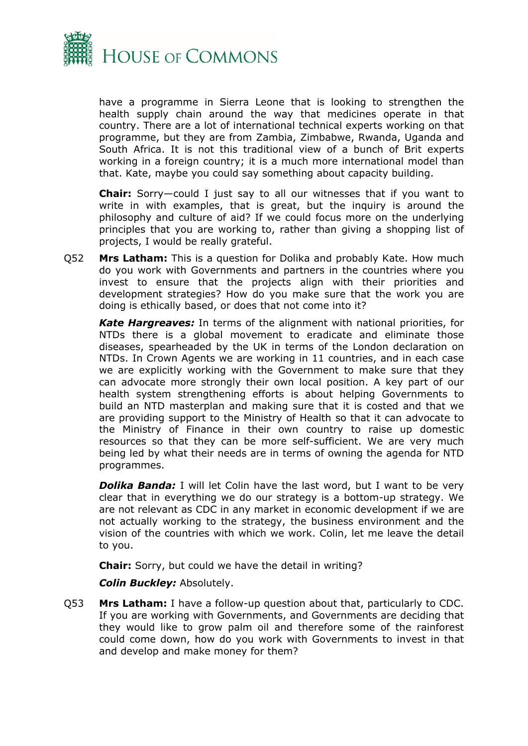

have a programme in Sierra Leone that is looking to strengthen the health supply chain around the way that medicines operate in that country. There are a lot of international technical experts working on that programme, but they are from Zambia, Zimbabwe, Rwanda, Uganda and South Africa. It is not this traditional view of a bunch of Brit experts working in a foreign country; it is a much more international model than that. Kate, maybe you could say something about capacity building.

**Chair:** Sorry—could I just say to all our witnesses that if you want to write in with examples, that is great, but the inquiry is around the philosophy and culture of aid? If we could focus more on the underlying principles that you are working to, rather than giving a shopping list of projects, I would be really grateful.

Q52 **Mrs Latham:** This is a question for Dolika and probably Kate. How much do you work with Governments and partners in the countries where you invest to ensure that the projects align with their priorities and development strategies? How do you make sure that the work you are doing is ethically based, or does that not come into it?

*Kate Hargreaves:* In terms of the alignment with national priorities, for NTDs there is a global movement to eradicate and eliminate those diseases, spearheaded by the UK in terms of the London declaration on NTDs. In Crown Agents we are working in 11 countries, and in each case we are explicitly working with the Government to make sure that they can advocate more strongly their own local position. A key part of our health system strengthening efforts is about helping Governments to build an NTD masterplan and making sure that it is costed and that we are providing support to the Ministry of Health so that it can advocate to the Ministry of Finance in their own country to raise up domestic resources so that they can be more self-sufficient. We are very much being led by what their needs are in terms of owning the agenda for NTD programmes.

**Dolika Banda:** I will let Colin have the last word, but I want to be very clear that in everything we do our strategy is a bottom-up strategy. We are not relevant as CDC in any market in economic development if we are not actually working to the strategy, the business environment and the vision of the countries with which we work. Colin, let me leave the detail to you.

**Chair:** Sorry, but could we have the detail in writing?

*Colin Buckley:* Absolutely.

Q53 **Mrs Latham:** I have a follow-up question about that, particularly to CDC. If you are working with Governments, and Governments are deciding that they would like to grow palm oil and therefore some of the rainforest could come down, how do you work with Governments to invest in that and develop and make money for them?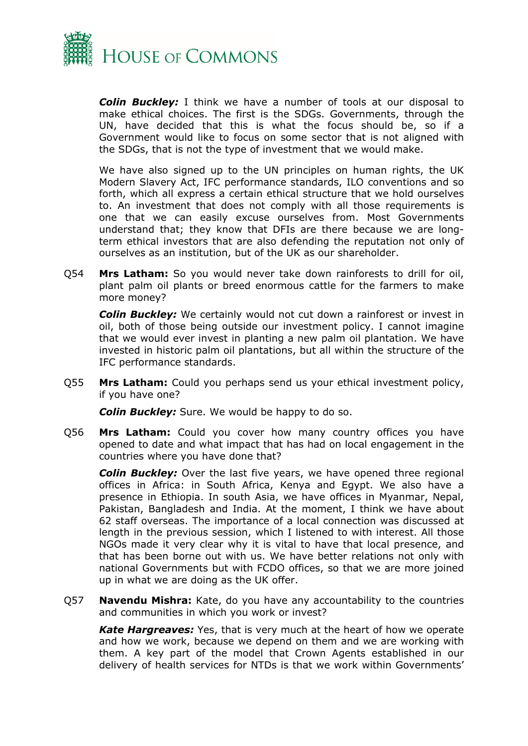

*Colin Buckley:* I think we have a number of tools at our disposal to make ethical choices. The first is the SDGs. Governments, through the UN, have decided that this is what the focus should be, so if a Government would like to focus on some sector that is not aligned with the SDGs, that is not the type of investment that we would make.

We have also signed up to the UN principles on human rights, the UK Modern Slavery Act, IFC performance standards, ILO conventions and so forth, which all express a certain ethical structure that we hold ourselves to. An investment that does not comply with all those requirements is one that we can easily excuse ourselves from. Most Governments understand that; they know that DFIs are there because we are longterm ethical investors that are also defending the reputation not only of ourselves as an institution, but of the UK as our shareholder.

Q54 **Mrs Latham:** So you would never take down rainforests to drill for oil, plant palm oil plants or breed enormous cattle for the farmers to make more money?

*Colin Buckley:* We certainly would not cut down a rainforest or invest in oil, both of those being outside our investment policy. I cannot imagine that we would ever invest in planting a new palm oil plantation. We have invested in historic palm oil plantations, but all within the structure of the IFC performance standards.

Q55 **Mrs Latham:** Could you perhaps send us your ethical investment policy, if you have one?

*Colin Buckley:* Sure. We would be happy to do so.

Q56 **Mrs Latham:** Could you cover how many country offices you have opened to date and what impact that has had on local engagement in the countries where you have done that?

*Colin Buckley:* Over the last five years, we have opened three regional offices in Africa: in South Africa, Kenya and Egypt. We also have a presence in Ethiopia. In south Asia, we have offices in Myanmar, Nepal, Pakistan, Bangladesh and India. At the moment, I think we have about 62 staff overseas. The importance of a local connection was discussed at length in the previous session, which I listened to with interest. All those NGOs made it very clear why it is vital to have that local presence, and that has been borne out with us. We have better relations not only with national Governments but with FCDO offices, so that we are more joined up in what we are doing as the UK offer.

Q57 **Navendu Mishra:** Kate, do you have any accountability to the countries and communities in which you work or invest?

*Kate Hargreaves:* Yes, that is very much at the heart of how we operate and how we work, because we depend on them and we are working with them. A key part of the model that Crown Agents established in our delivery of health services for NTDs is that we work within Governments'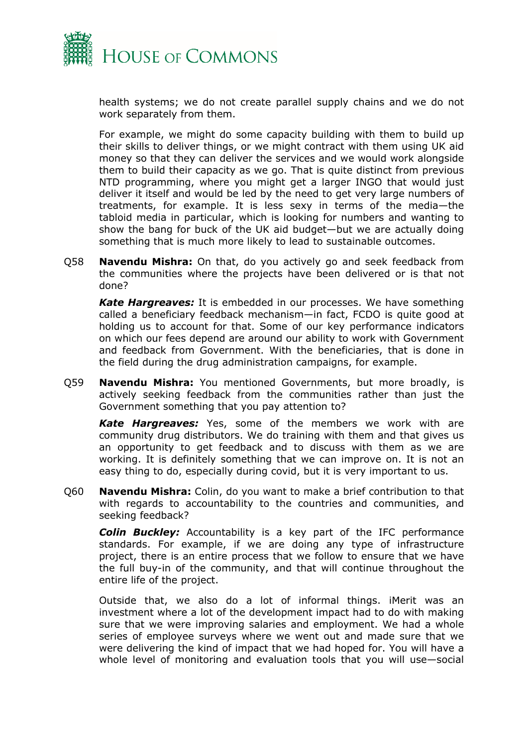

health systems; we do not create parallel supply chains and we do not work separately from them.

For example, we might do some capacity building with them to build up their skills to deliver things, or we might contract with them using UK aid money so that they can deliver the services and we would work alongside them to build their capacity as we go. That is quite distinct from previous NTD programming, where you might get a larger INGO that would just deliver it itself and would be led by the need to get very large numbers of treatments, for example. It is less sexy in terms of the media—the tabloid media in particular, which is looking for numbers and wanting to show the bang for buck of the UK aid budget—but we are actually doing something that is much more likely to lead to sustainable outcomes.

Q58 **Navendu Mishra:** On that, do you actively go and seek feedback from the communities where the projects have been delivered or is that not done?

*Kate Hargreaves:* It is embedded in our processes. We have something called a beneficiary feedback mechanism—in fact, FCDO is quite good at holding us to account for that. Some of our key performance indicators on which our fees depend are around our ability to work with Government and feedback from Government. With the beneficiaries, that is done in the field during the drug administration campaigns, for example.

Q59 **Navendu Mishra:** You mentioned Governments, but more broadly, is actively seeking feedback from the communities rather than just the Government something that you pay attention to?

*Kate Hargreaves:* Yes, some of the members we work with are community drug distributors. We do training with them and that gives us an opportunity to get feedback and to discuss with them as we are working. It is definitely something that we can improve on. It is not an easy thing to do, especially during covid, but it is very important to us.

Q60 **Navendu Mishra:** Colin, do you want to make a brief contribution to that with regards to accountability to the countries and communities, and seeking feedback?

*Colin Buckley:* Accountability is a key part of the IFC performance standards. For example, if we are doing any type of infrastructure project, there is an entire process that we follow to ensure that we have the full buy-in of the community, and that will continue throughout the entire life of the project.

Outside that, we also do a lot of informal things. iMerit was an investment where a lot of the development impact had to do with making sure that we were improving salaries and employment. We had a whole series of employee surveys where we went out and made sure that we were delivering the kind of impact that we had hoped for. You will have a whole level of monitoring and evaluation tools that you will use—social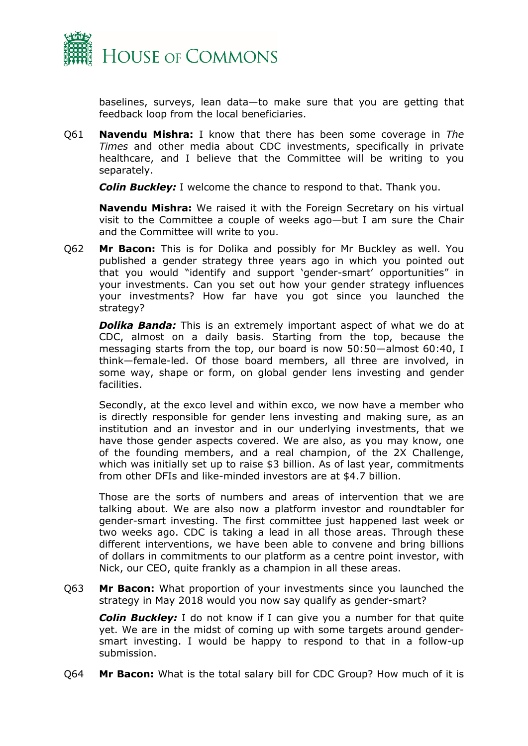

baselines, surveys, lean data—to make sure that you are getting that feedback loop from the local beneficiaries.

Q61 **Navendu Mishra:** I know that there has been some coverage in *The Times* and other media about CDC investments, specifically in private healthcare, and I believe that the Committee will be writing to you separately.

*Colin Buckley:* I welcome the chance to respond to that. Thank you.

**Navendu Mishra:** We raised it with the Foreign Secretary on his virtual visit to the Committee a couple of weeks ago—but I am sure the Chair and the Committee will write to you.

Q62 **Mr Bacon:** This is for Dolika and possibly for Mr Buckley as well. You published a gender strategy three years ago in which you pointed out that you would "identify and support 'gender-smart' opportunities" in your investments. Can you set out how your gender strategy influences your investments? How far have you got since you launched the strategy?

*Dolika Banda:* This is an extremely important aspect of what we do at CDC, almost on a daily basis. Starting from the top, because the messaging starts from the top, our board is now 50:50—almost 60:40, I think—female-led. Of those board members, all three are involved, in some way, shape or form, on global gender lens investing and gender facilities.

Secondly, at the exco level and within exco, we now have a member who is directly responsible for gender lens investing and making sure, as an institution and an investor and in our underlying investments, that we have those gender aspects covered. We are also, as you may know, one of the founding members, and a real champion, of the 2X Challenge, which was initially set up to raise \$3 billion. As of last year, commitments from other DFIs and like-minded investors are at \$4.7 billion.

Those are the sorts of numbers and areas of intervention that we are talking about. We are also now a platform investor and roundtabler for gender-smart investing. The first committee just happened last week or two weeks ago. CDC is taking a lead in all those areas. Through these different interventions, we have been able to convene and bring billions of dollars in commitments to our platform as a centre point investor, with Nick, our CEO, quite frankly as a champion in all these areas.

Q63 **Mr Bacon:** What proportion of your investments since you launched the strategy in May 2018 would you now say qualify as gender-smart?

*Colin Buckley:* I do not know if I can give you a number for that quite yet. We are in the midst of coming up with some targets around gendersmart investing. I would be happy to respond to that in a follow-up submission.

Q64 **Mr Bacon:** What is the total salary bill for CDC Group? How much of it is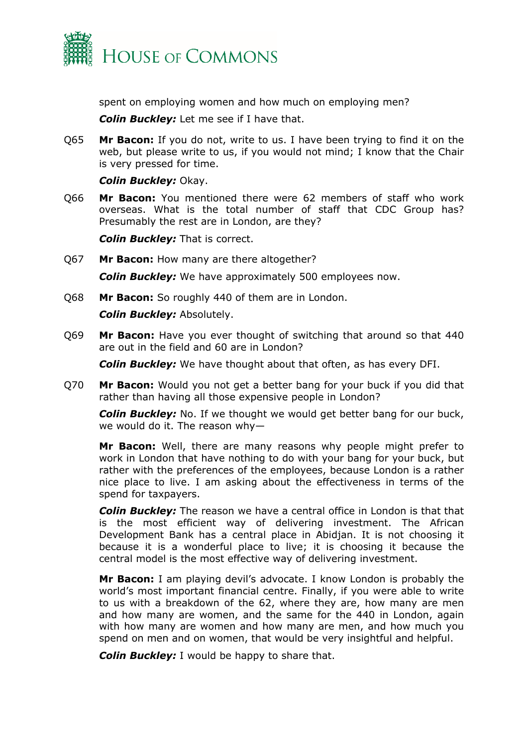

spent on employing women and how much on employing men?

*Colin Buckley:* Let me see if I have that.

Q65 **Mr Bacon:** If you do not, write to us. I have been trying to find it on the web, but please write to us, if you would not mind; I know that the Chair is very pressed for time.

#### *Colin Buckley:* Okay.

Q66 **Mr Bacon:** You mentioned there were 62 members of staff who work overseas. What is the total number of staff that CDC Group has? Presumably the rest are in London, are they?

*Colin Buckley:* That is correct.

- Q67 **Mr Bacon:** How many are there altogether? *Colin Buckley:* We have approximately 500 employees now.
- Q68 **Mr Bacon:** So roughly 440 of them are in London. *Colin Buckley:* Absolutely.
- Q69 **Mr Bacon:** Have you ever thought of switching that around so that 440 are out in the field and 60 are in London?

*Colin Buckley:* We have thought about that often, as has every DFI.

Q70 **Mr Bacon:** Would you not get a better bang for your buck if you did that rather than having all those expensive people in London?

*Colin Buckley:* No. If we thought we would get better bang for our buck, we would do it. The reason why—

**Mr Bacon:** Well, there are many reasons why people might prefer to work in London that have nothing to do with your bang for your buck, but rather with the preferences of the employees, because London is a rather nice place to live. I am asking about the effectiveness in terms of the spend for taxpayers.

*Colin Buckley:* The reason we have a central office in London is that that is the most efficient way of delivering investment. The African Development Bank has a central place in Abidjan. It is not choosing it because it is a wonderful place to live; it is choosing it because the central model is the most effective way of delivering investment.

**Mr Bacon:** I am playing devil's advocate. I know London is probably the world's most important financial centre. Finally, if you were able to write to us with a breakdown of the 62, where they are, how many are men and how many are women, and the same for the 440 in London, again with how many are women and how many are men, and how much you spend on men and on women, that would be very insightful and helpful.

*Colin Buckley:* I would be happy to share that.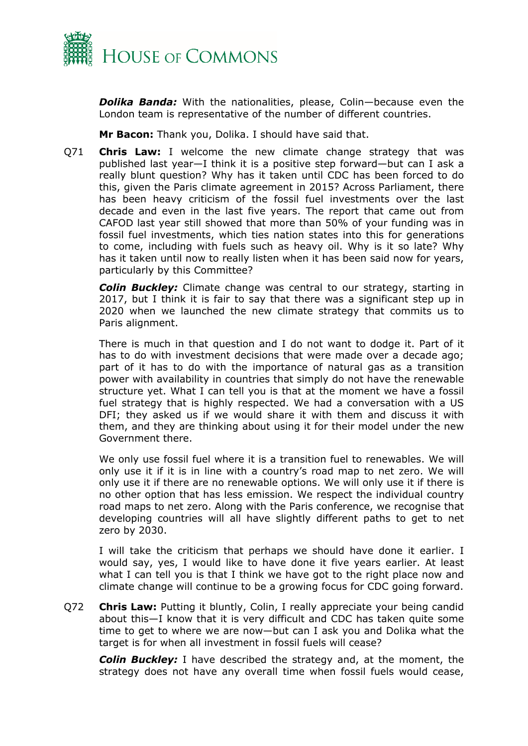

*Dolika Banda:* With the nationalities, please, Colin—because even the London team is representative of the number of different countries.

**Mr Bacon:** Thank you, Dolika. I should have said that.

Q71 **Chris Law:** I welcome the new climate change strategy that was published last year—I think it is a positive step forward—but can I ask a really blunt question? Why has it taken until CDC has been forced to do this, given the Paris climate agreement in 2015? Across Parliament, there has been heavy criticism of the fossil fuel investments over the last decade and even in the last five years. The report that came out from CAFOD last year still showed that more than 50% of your funding was in fossil fuel investments, which ties nation states into this for generations to come, including with fuels such as heavy oil. Why is it so late? Why has it taken until now to really listen when it has been said now for years, particularly by this Committee?

*Colin Buckley:* Climate change was central to our strategy, starting in 2017, but I think it is fair to say that there was a significant step up in 2020 when we launched the new climate strategy that commits us to Paris alignment.

There is much in that question and I do not want to dodge it. Part of it has to do with investment decisions that were made over a decade ago; part of it has to do with the importance of natural gas as a transition power with availability in countries that simply do not have the renewable structure yet. What I can tell you is that at the moment we have a fossil fuel strategy that is highly respected. We had a conversation with a US DFI; they asked us if we would share it with them and discuss it with them, and they are thinking about using it for their model under the new Government there.

We only use fossil fuel where it is a transition fuel to renewables. We will only use it if it is in line with a country's road map to net zero. We will only use it if there are no renewable options. We will only use it if there is no other option that has less emission. We respect the individual country road maps to net zero. Along with the Paris conference, we recognise that developing countries will all have slightly different paths to get to net zero by 2030.

I will take the criticism that perhaps we should have done it earlier. I would say, yes, I would like to have done it five years earlier. At least what I can tell you is that I think we have got to the right place now and climate change will continue to be a growing focus for CDC going forward.

Q72 **Chris Law:** Putting it bluntly, Colin, I really appreciate your being candid about this—I know that it is very difficult and CDC has taken quite some time to get to where we are now—but can I ask you and Dolika what the target is for when all investment in fossil fuels will cease?

*Colin Buckley:* I have described the strategy and, at the moment, the strategy does not have any overall time when fossil fuels would cease,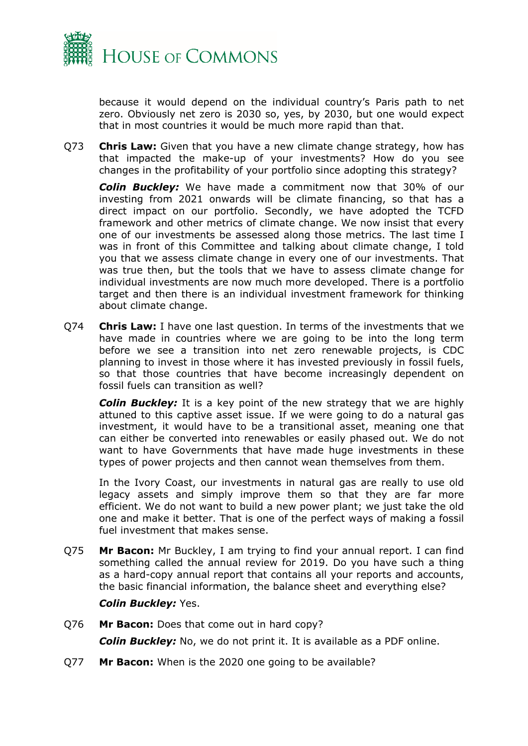

because it would depend on the individual country's Paris path to net zero. Obviously net zero is 2030 so, yes, by 2030, but one would expect that in most countries it would be much more rapid than that.

Q73 **Chris Law:** Given that you have a new climate change strategy, how has that impacted the make-up of your investments? How do you see changes in the profitability of your portfolio since adopting this strategy?

*Colin Buckley:* We have made a commitment now that 30% of our investing from 2021 onwards will be climate financing, so that has a direct impact on our portfolio. Secondly, we have adopted the TCFD framework and other metrics of climate change. We now insist that every one of our investments be assessed along those metrics. The last time I was in front of this Committee and talking about climate change, I told you that we assess climate change in every one of our investments. That was true then, but the tools that we have to assess climate change for individual investments are now much more developed. There is a portfolio target and then there is an individual investment framework for thinking about climate change.

Q74 **Chris Law:** I have one last question. In terms of the investments that we have made in countries where we are going to be into the long term before we see a transition into net zero renewable projects, is CDC planning to invest in those where it has invested previously in fossil fuels, so that those countries that have become increasingly dependent on fossil fuels can transition as well?

*Colin Buckley:* It is a key point of the new strategy that we are highly attuned to this captive asset issue. If we were going to do a natural gas investment, it would have to be a transitional asset, meaning one that can either be converted into renewables or easily phased out. We do not want to have Governments that have made huge investments in these types of power projects and then cannot wean themselves from them.

In the Ivory Coast, our investments in natural gas are really to use old legacy assets and simply improve them so that they are far more efficient. We do not want to build a new power plant; we just take the old one and make it better. That is one of the perfect ways of making a fossil fuel investment that makes sense.

Q75 **Mr Bacon:** Mr Buckley, I am trying to find your annual report. I can find something called the annual review for 2019. Do you have such a thing as a hard-copy annual report that contains all your reports and accounts, the basic financial information, the balance sheet and everything else?

#### *Colin Buckley:* Yes.

Q76 **Mr Bacon:** Does that come out in hard copy?

*Colin Buckley:* No, we do not print it. It is available as a PDF online.

Q77 **Mr Bacon:** When is the 2020 one going to be available?